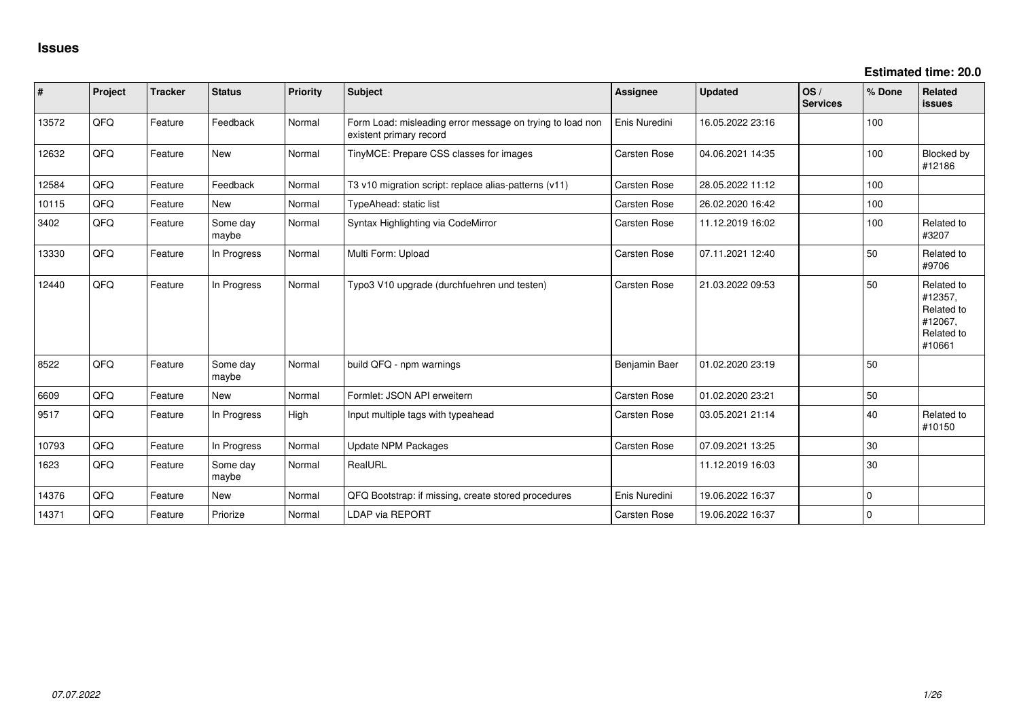**Estimated time: 20.0**

| #     | Project | <b>Tracker</b> | <b>Status</b>     | <b>Priority</b> | <b>Subject</b>                                                                       | Assignee            | <b>Updated</b>   | OS/<br><b>Services</b> | % Done      | <b>Related</b><br>issues                                               |
|-------|---------|----------------|-------------------|-----------------|--------------------------------------------------------------------------------------|---------------------|------------------|------------------------|-------------|------------------------------------------------------------------------|
| 13572 | QFQ     | Feature        | Feedback          | Normal          | Form Load: misleading error message on trying to load non<br>existent primary record | Enis Nuredini       | 16.05.2022 23:16 |                        | 100         |                                                                        |
| 12632 | QFQ     | Feature        | <b>New</b>        | Normal          | TinyMCE: Prepare CSS classes for images                                              | <b>Carsten Rose</b> | 04.06.2021 14:35 |                        | 100         | Blocked by<br>#12186                                                   |
| 12584 | QFQ     | Feature        | Feedback          | Normal          | T3 v10 migration script: replace alias-patterns (v11)                                | <b>Carsten Rose</b> | 28.05.2022 11:12 |                        | 100         |                                                                        |
| 10115 | QFQ     | Feature        | <b>New</b>        | Normal          | TypeAhead: static list                                                               | <b>Carsten Rose</b> | 26.02.2020 16:42 |                        | 100         |                                                                        |
| 3402  | QFQ     | Feature        | Some day<br>maybe | Normal          | Syntax Highlighting via CodeMirror                                                   | Carsten Rose        | 11.12.2019 16:02 |                        | 100         | Related to<br>#3207                                                    |
| 13330 | QFQ     | Feature        | In Progress       | Normal          | Multi Form: Upload                                                                   | <b>Carsten Rose</b> | 07.11.2021 12:40 |                        | 50          | Related to<br>#9706                                                    |
| 12440 | QFQ     | Feature        | In Progress       | Normal          | Typo3 V10 upgrade (durchfuehren und testen)                                          | <b>Carsten Rose</b> | 21.03.2022 09:53 |                        | 50          | Related to<br>#12357,<br>Related to<br>#12067,<br>Related to<br>#10661 |
| 8522  | QFQ     | Feature        | Some day<br>maybe | Normal          | build QFQ - npm warnings                                                             | Benjamin Baer       | 01.02.2020 23:19 |                        | 50          |                                                                        |
| 6609  | QFQ     | Feature        | New               | Normal          | Formlet: JSON API erweitern                                                          | Carsten Rose        | 01.02.2020 23:21 |                        | 50          |                                                                        |
| 9517  | QFQ     | Feature        | In Progress       | High            | Input multiple tags with typeahead                                                   | <b>Carsten Rose</b> | 03.05.2021 21:14 |                        | 40          | Related to<br>#10150                                                   |
| 10793 | QFQ     | Feature        | In Progress       | Normal          | <b>Update NPM Packages</b>                                                           | Carsten Rose        | 07.09.2021 13:25 |                        | 30          |                                                                        |
| 1623  | QFQ     | Feature        | Some day<br>maybe | Normal          | RealURL                                                                              |                     | 11.12.2019 16:03 |                        | 30          |                                                                        |
| 14376 | QFQ     | Feature        | <b>New</b>        | Normal          | QFQ Bootstrap: if missing, create stored procedures                                  | Enis Nuredini       | 19.06.2022 16:37 |                        | $\mathbf 0$ |                                                                        |
| 14371 | QFQ     | Feature        | Priorize          | Normal          | <b>LDAP via REPORT</b>                                                               | <b>Carsten Rose</b> | 19.06.2022 16:37 |                        | 0           |                                                                        |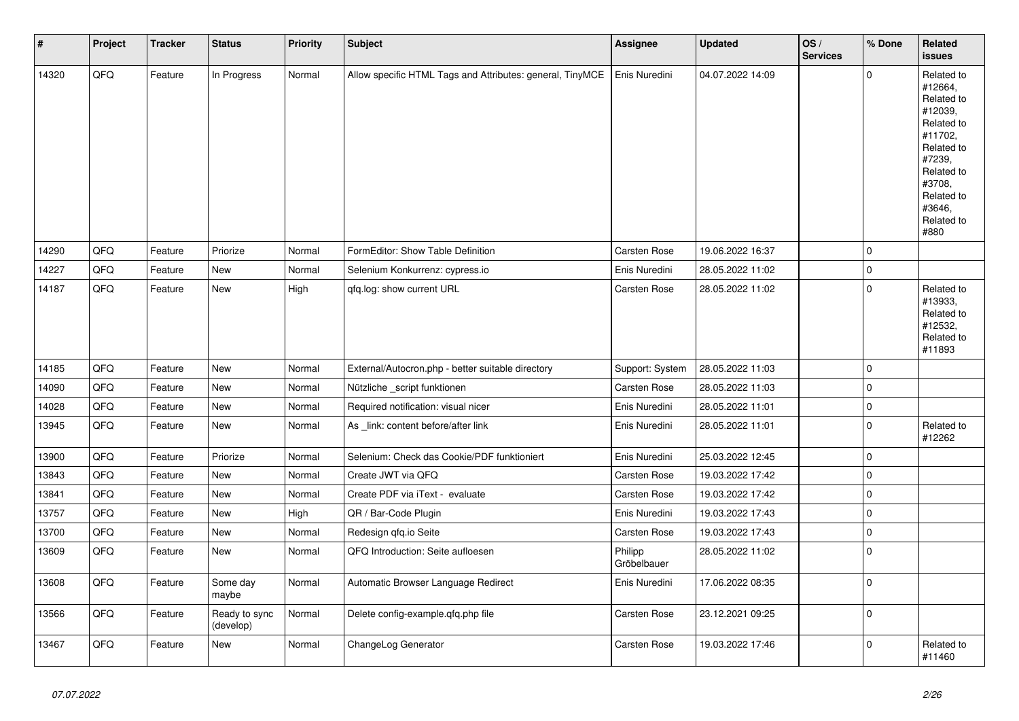| $\sharp$ | Project | <b>Tracker</b> | <b>Status</b>              | <b>Priority</b> | <b>Subject</b>                                            | <b>Assignee</b>        | <b>Updated</b>   | OS/<br><b>Services</b> | % Done      | Related<br><b>issues</b>                                                                                                                                              |
|----------|---------|----------------|----------------------------|-----------------|-----------------------------------------------------------|------------------------|------------------|------------------------|-------------|-----------------------------------------------------------------------------------------------------------------------------------------------------------------------|
| 14320    | QFQ     | Feature        | In Progress                | Normal          | Allow specific HTML Tags and Attributes: general, TinyMCE | Enis Nuredini          | 04.07.2022 14:09 |                        | $\mathbf 0$ | Related to<br>#12664,<br>Related to<br>#12039,<br>Related to<br>#11702,<br>Related to<br>#7239,<br>Related to<br>#3708.<br>Related to<br>#3646,<br>Related to<br>#880 |
| 14290    | QFQ     | Feature        | Priorize                   | Normal          | FormEditor: Show Table Definition                         | <b>Carsten Rose</b>    | 19.06.2022 16:37 |                        | $\pmb{0}$   |                                                                                                                                                                       |
| 14227    | QFQ     | Feature        | <b>New</b>                 | Normal          | Selenium Konkurrenz: cypress.io                           | Enis Nuredini          | 28.05.2022 11:02 |                        | $\mathbf 0$ |                                                                                                                                                                       |
| 14187    | QFQ     | Feature        | <b>New</b>                 | High            | gfg.log: show current URL                                 | <b>Carsten Rose</b>    | 28.05.2022 11:02 |                        | $\mathbf 0$ | Related to<br>#13933,<br>Related to<br>#12532,<br>Related to<br>#11893                                                                                                |
| 14185    | QFQ     | Feature        | New                        | Normal          | External/Autocron.php - better suitable directory         | Support: System        | 28.05.2022 11:03 |                        | $\mathbf 0$ |                                                                                                                                                                       |
| 14090    | QFQ     | Feature        | New                        | Normal          | Nützliche _script funktionen                              | <b>Carsten Rose</b>    | 28.05.2022 11:03 |                        | $\pmb{0}$   |                                                                                                                                                                       |
| 14028    | QFQ     | Feature        | New                        | Normal          | Required notification: visual nicer                       | Enis Nuredini          | 28.05.2022 11:01 |                        | $\mathbf 0$ |                                                                                                                                                                       |
| 13945    | QFQ     | Feature        | New                        | Normal          | As _link: content before/after link                       | Enis Nuredini          | 28.05.2022 11:01 |                        | $\pmb{0}$   | Related to<br>#12262                                                                                                                                                  |
| 13900    | QFQ     | Feature        | Priorize                   | Normal          | Selenium: Check das Cookie/PDF funktioniert               | Enis Nuredini          | 25.03.2022 12:45 |                        | $\mathbf 0$ |                                                                                                                                                                       |
| 13843    | QFQ     | Feature        | New                        | Normal          | Create JWT via QFQ                                        | Carsten Rose           | 19.03.2022 17:42 |                        | $\pmb{0}$   |                                                                                                                                                                       |
| 13841    | QFQ     | Feature        | New                        | Normal          | Create PDF via iText - evaluate                           | <b>Carsten Rose</b>    | 19.03.2022 17:42 |                        | $\mathbf 0$ |                                                                                                                                                                       |
| 13757    | QFQ     | Feature        | New                        | High            | QR / Bar-Code Plugin                                      | Enis Nuredini          | 19.03.2022 17:43 |                        | $\pmb{0}$   |                                                                                                                                                                       |
| 13700    | QFQ     | Feature        | New                        | Normal          | Redesign qfq.io Seite                                     | Carsten Rose           | 19.03.2022 17:43 |                        | $\pmb{0}$   |                                                                                                                                                                       |
| 13609    | QFQ     | Feature        | New                        | Normal          | QFQ Introduction: Seite aufloesen                         | Philipp<br>Gröbelbauer | 28.05.2022 11:02 |                        | $\pmb{0}$   |                                                                                                                                                                       |
| 13608    | QFQ     | Feature        | Some day<br>maybe          | Normal          | Automatic Browser Language Redirect                       | Enis Nuredini          | 17.06.2022 08:35 |                        | $\mathbf 0$ |                                                                                                                                                                       |
| 13566    | QFQ     | Feature        | Ready to sync<br>(develop) | Normal          | Delete config-example.qfq.php file                        | Carsten Rose           | 23.12.2021 09:25 |                        | $\mathbf 0$ |                                                                                                                                                                       |
| 13467    | QFQ     | Feature        | New                        | Normal          | ChangeLog Generator                                       | Carsten Rose           | 19.03.2022 17:46 |                        | $\pmb{0}$   | Related to<br>#11460                                                                                                                                                  |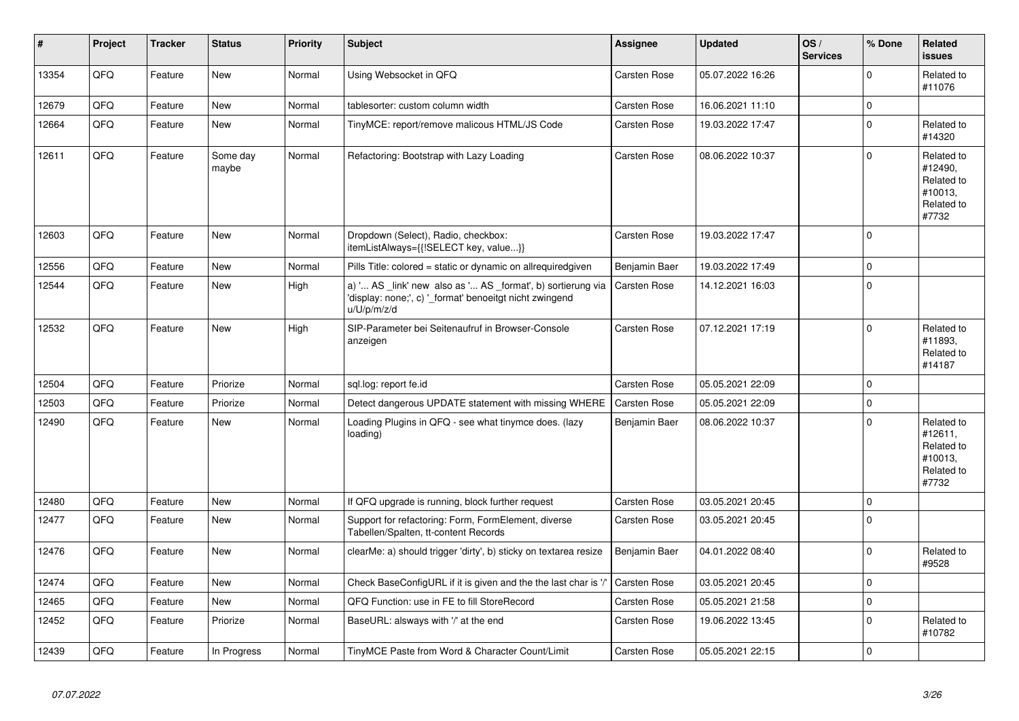| ∦     | Project | <b>Tracker</b> | <b>Status</b>     | <b>Priority</b> | <b>Subject</b>                                                                                                                        | <b>Assignee</b>     | <b>Updated</b>   | OS/<br><b>Services</b> | % Done      | Related<br><b>issues</b>                                              |
|-------|---------|----------------|-------------------|-----------------|---------------------------------------------------------------------------------------------------------------------------------------|---------------------|------------------|------------------------|-------------|-----------------------------------------------------------------------|
| 13354 | QFQ     | Feature        | New               | Normal          | Using Websocket in QFQ                                                                                                                | Carsten Rose        | 05.07.2022 16:26 |                        | $\Omega$    | Related to<br>#11076                                                  |
| 12679 | QFQ     | Feature        | New               | Normal          | tablesorter: custom column width                                                                                                      | Carsten Rose        | 16.06.2021 11:10 |                        | $\pmb{0}$   |                                                                       |
| 12664 | QFQ     | Feature        | <b>New</b>        | Normal          | TinyMCE: report/remove malicous HTML/JS Code                                                                                          | <b>Carsten Rose</b> | 19.03.2022 17:47 |                        | $\mathbf 0$ | Related to<br>#14320                                                  |
| 12611 | QFQ     | Feature        | Some day<br>maybe | Normal          | Refactoring: Bootstrap with Lazy Loading                                                                                              | <b>Carsten Rose</b> | 08.06.2022 10:37 |                        | $\mathbf 0$ | Related to<br>#12490,<br>Related to<br>#10013,<br>Related to<br>#7732 |
| 12603 | QFQ     | Feature        | New               | Normal          | Dropdown (Select), Radio, checkbox:<br>itemListAlways={{!SELECT key, value}}                                                          | Carsten Rose        | 19.03.2022 17:47 |                        | $\mathbf 0$ |                                                                       |
| 12556 | QFQ     | Feature        | New               | Normal          | Pills Title: colored = static or dynamic on allrequiredgiven                                                                          | Benjamin Baer       | 19.03.2022 17:49 |                        | $\mathbf 0$ |                                                                       |
| 12544 | QFQ     | Feature        | New               | High            | a) ' AS _link' new also as ' AS _format', b) sortierung via<br>'display: none;', c) '_format' benoeitgt nicht zwingend<br>u/U/p/m/z/d | Carsten Rose        | 14.12.2021 16:03 |                        | $\pmb{0}$   |                                                                       |
| 12532 | QFQ     | Feature        | <b>New</b>        | High            | SIP-Parameter bei Seitenaufruf in Browser-Console<br>anzeigen                                                                         | Carsten Rose        | 07.12.2021 17:19 |                        | $\Omega$    | Related to<br>#11893.<br>Related to<br>#14187                         |
| 12504 | QFQ     | Feature        | Priorize          | Normal          | sql.log: report fe.id                                                                                                                 | <b>Carsten Rose</b> | 05.05.2021 22:09 |                        | $\mathbf 0$ |                                                                       |
| 12503 | QFQ     | Feature        | Priorize          | Normal          | Detect dangerous UPDATE statement with missing WHERE                                                                                  | Carsten Rose        | 05.05.2021 22:09 |                        | $\pmb{0}$   |                                                                       |
| 12490 | QFQ     | Feature        | <b>New</b>        | Normal          | Loading Plugins in QFQ - see what tinymce does. (lazy<br>loading)                                                                     | Benjamin Baer       | 08.06.2022 10:37 |                        | $\Omega$    | Related to<br>#12611.<br>Related to<br>#10013,<br>Related to<br>#7732 |
| 12480 | QFQ     | Feature        | <b>New</b>        | Normal          | If QFQ upgrade is running, block further request                                                                                      | <b>Carsten Rose</b> | 03.05.2021 20:45 |                        | $\mathbf 0$ |                                                                       |
| 12477 | QFQ     | Feature        | <b>New</b>        | Normal          | Support for refactoring: Form, FormElement, diverse<br>Tabellen/Spalten, tt-content Records                                           | Carsten Rose        | 03.05.2021 20:45 |                        | $\mathbf 0$ |                                                                       |
| 12476 | QFQ     | Feature        | <b>New</b>        | Normal          | clearMe: a) should trigger 'dirty', b) sticky on textarea resize                                                                      | Benjamin Baer       | 04.01.2022 08:40 |                        | $\mathbf 0$ | Related to<br>#9528                                                   |
| 12474 | QFQ     | Feature        | <b>New</b>        | Normal          | Check BaseConfigURL if it is given and the the last char is '/'                                                                       | Carsten Rose        | 03.05.2021 20:45 |                        | $\mathbf 0$ |                                                                       |
| 12465 | QFQ     | Feature        | <b>New</b>        | Normal          | QFQ Function: use in FE to fill StoreRecord                                                                                           | Carsten Rose        | 05.05.2021 21:58 |                        | $\mathbf 0$ |                                                                       |
| 12452 | QFQ     | Feature        | Priorize          | Normal          | BaseURL: alsways with '/' at the end                                                                                                  | Carsten Rose        | 19.06.2022 13:45 |                        | $\mathbf 0$ | Related to<br>#10782                                                  |
| 12439 | QFQ     | Feature        | In Progress       | Normal          | TinyMCE Paste from Word & Character Count/Limit                                                                                       | Carsten Rose        | 05.05.2021 22:15 |                        | $\mathbf 0$ |                                                                       |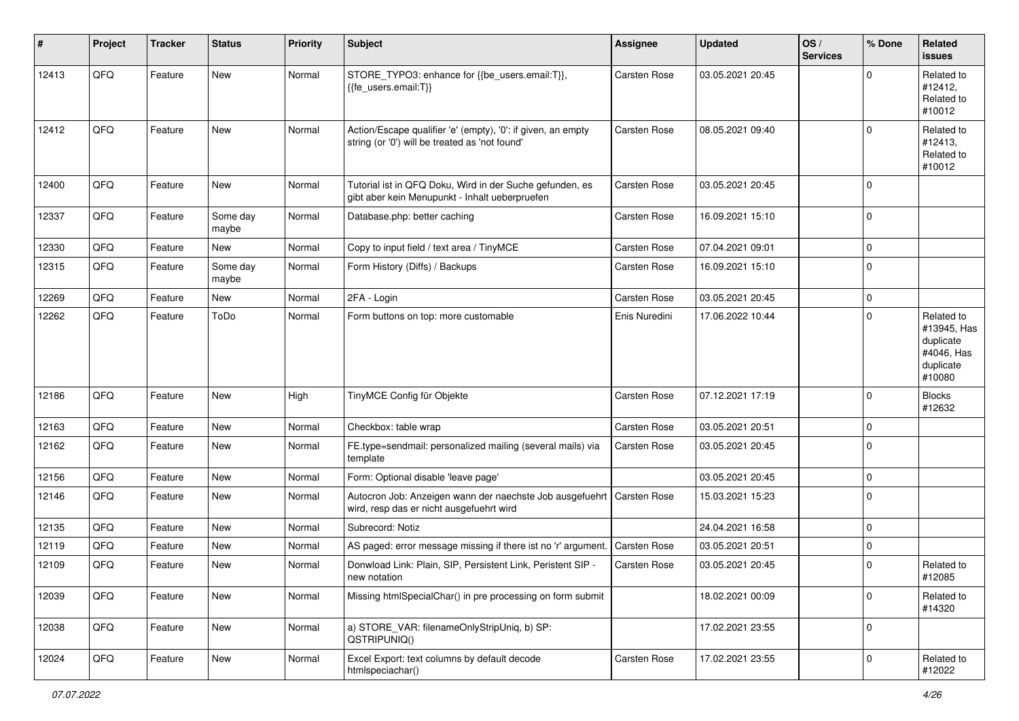| #     | Project | <b>Tracker</b> | <b>Status</b>     | <b>Priority</b> | <b>Subject</b>                                                                                                      | Assignee            | <b>Updated</b>   | OS/<br><b>Services</b> | % Done      | Related<br>issues                                                           |
|-------|---------|----------------|-------------------|-----------------|---------------------------------------------------------------------------------------------------------------------|---------------------|------------------|------------------------|-------------|-----------------------------------------------------------------------------|
| 12413 | QFQ     | Feature        | New               | Normal          | STORE_TYPO3: enhance for {{be_users.email:T}},<br>{{fe users.email:T}}                                              | Carsten Rose        | 03.05.2021 20:45 |                        | $\Omega$    | Related to<br>#12412,<br>Related to<br>#10012                               |
| 12412 | QFQ     | Feature        | New               | Normal          | Action/Escape qualifier 'e' (empty), '0': if given, an empty<br>string (or '0') will be treated as 'not found'      | Carsten Rose        | 08.05.2021 09:40 |                        | $\Omega$    | Related to<br>#12413,<br>Related to<br>#10012                               |
| 12400 | QFQ     | Feature        | New               | Normal          | Tutorial ist in QFQ Doku, Wird in der Suche gefunden, es<br>gibt aber kein Menupunkt - Inhalt ueberpruefen          | Carsten Rose        | 03.05.2021 20:45 |                        | $\Omega$    |                                                                             |
| 12337 | QFQ     | Feature        | Some day<br>maybe | Normal          | Database.php: better caching                                                                                        | Carsten Rose        | 16.09.2021 15:10 |                        | $\Omega$    |                                                                             |
| 12330 | QFQ     | Feature        | New               | Normal          | Copy to input field / text area / TinyMCE                                                                           | Carsten Rose        | 07.04.2021 09:01 |                        | 0           |                                                                             |
| 12315 | QFQ     | Feature        | Some day<br>maybe | Normal          | Form History (Diffs) / Backups                                                                                      | <b>Carsten Rose</b> | 16.09.2021 15:10 |                        | $\Omega$    |                                                                             |
| 12269 | QFQ     | Feature        | New               | Normal          | 2FA - Login                                                                                                         | Carsten Rose        | 03.05.2021 20:45 |                        | 0           |                                                                             |
| 12262 | QFQ     | Feature        | ToDo              | Normal          | Form buttons on top: more customable                                                                                | Enis Nuredini       | 17.06.2022 10:44 |                        | $\mathbf 0$ | Related to<br>#13945, Has<br>duplicate<br>#4046, Has<br>duplicate<br>#10080 |
| 12186 | QFQ     | Feature        | New               | High            | TinyMCE Config für Objekte                                                                                          | Carsten Rose        | 07.12.2021 17:19 |                        | $\Omega$    | <b>Blocks</b><br>#12632                                                     |
| 12163 | QFQ     | Feature        | New               | Normal          | Checkbox: table wrap                                                                                                | Carsten Rose        | 03.05.2021 20:51 |                        | $\Omega$    |                                                                             |
| 12162 | QFQ     | Feature        | New               | Normal          | FE.type=sendmail: personalized mailing (several mails) via<br>template                                              | Carsten Rose        | 03.05.2021 20:45 |                        | $\Omega$    |                                                                             |
| 12156 | QFQ     | Feature        | New               | Normal          | Form: Optional disable 'leave page'                                                                                 |                     | 03.05.2021 20:45 |                        | $\Omega$    |                                                                             |
| 12146 | QFQ     | Feature        | New               | Normal          | Autocron Job: Anzeigen wann der naechste Job ausgefuehrt   Carsten Rose<br>wird, resp das er nicht ausgefuehrt wird |                     | 15.03.2021 15:23 |                        | $\Omega$    |                                                                             |
| 12135 | QFQ     | Feature        | New               | Normal          | Subrecord: Notiz                                                                                                    |                     | 24.04.2021 16:58 |                        | $\mathbf 0$ |                                                                             |
| 12119 | QFQ     | Feature        | New               | Normal          | AS paged: error message missing if there ist no 'r' argument.                                                       | <b>Carsten Rose</b> | 03.05.2021 20:51 |                        | $\mathbf 0$ |                                                                             |
| 12109 | QFQ     | Feature        | New               | Normal          | Donwload Link: Plain, SIP, Persistent Link, Peristent SIP -<br>new notation                                         | Carsten Rose        | 03.05.2021 20:45 |                        | $\Omega$    | Related to<br>#12085                                                        |
| 12039 | QFQ     | Feature        | New               | Normal          | Missing htmlSpecialChar() in pre processing on form submit                                                          |                     | 18.02.2021 00:09 |                        | 0           | Related to<br>#14320                                                        |
| 12038 | QFQ     | Feature        | New               | Normal          | a) STORE_VAR: filenameOnlyStripUniq, b) SP:<br>QSTRIPUNIQ()                                                         |                     | 17.02.2021 23:55 |                        | 0           |                                                                             |
| 12024 | QFQ     | Feature        | New               | Normal          | Excel Export: text columns by default decode<br>htmlspeciachar()                                                    | Carsten Rose        | 17.02.2021 23:55 |                        | 0           | Related to<br>#12022                                                        |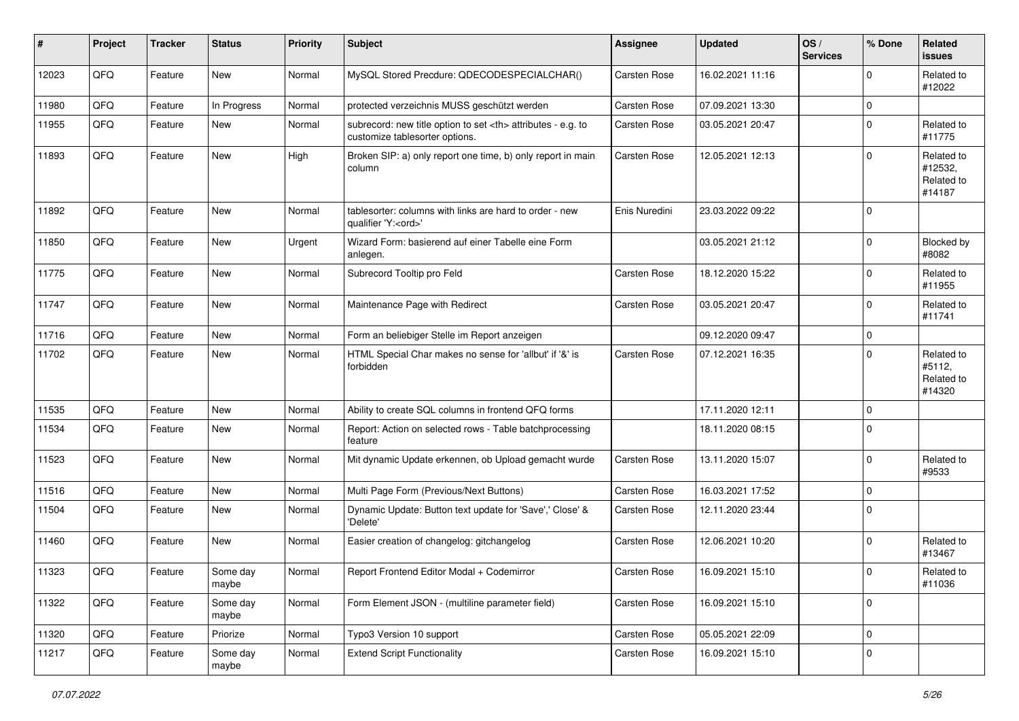| #     | Project | <b>Tracker</b> | <b>Status</b>     | <b>Priority</b> | <b>Subject</b>                                                                                       | <b>Assignee</b>                                        | <b>Updated</b>   | OS/<br><b>Services</b> | % Done      | Related<br>issues                             |                      |
|-------|---------|----------------|-------------------|-----------------|------------------------------------------------------------------------------------------------------|--------------------------------------------------------|------------------|------------------------|-------------|-----------------------------------------------|----------------------|
| 12023 | QFQ     | Feature        | New               | Normal          | MySQL Stored Precdure: QDECODESPECIALCHAR()                                                          | Carsten Rose                                           | 16.02.2021 11:16 |                        | $\mathbf 0$ | Related to<br>#12022                          |                      |
| 11980 | QFQ     | Feature        | In Progress       | Normal          | protected verzeichnis MUSS geschützt werden                                                          | Carsten Rose                                           | 07.09.2021 13:30 |                        | $\pmb{0}$   |                                               |                      |
| 11955 | QFQ     | Feature        | New               | Normal          | subrecord: new title option to set <th> attributes - e.g. to<br/>customize tablesorter options.</th> | attributes - e.g. to<br>customize tablesorter options. | Carsten Rose     | 03.05.2021 20:47       |             | $\pmb{0}$                                     | Related to<br>#11775 |
| 11893 | QFQ     | Feature        | <b>New</b>        | High            | Broken SIP: a) only report one time, b) only report in main<br>column                                | Carsten Rose                                           | 12.05.2021 12:13 |                        | $\mathbf 0$ | Related to<br>#12532,<br>Related to<br>#14187 |                      |
| 11892 | QFQ     | Feature        | <b>New</b>        | Normal          | tablesorter: columns with links are hard to order - new<br>qualifier 'Y: <ord>'</ord>                | Enis Nuredini                                          | 23.03.2022 09:22 |                        | 0           |                                               |                      |
| 11850 | QFQ     | Feature        | New               | Urgent          | Wizard Form: basierend auf einer Tabelle eine Form<br>anlegen.                                       |                                                        | 03.05.2021 21:12 |                        | $\mathbf 0$ | Blocked by<br>#8082                           |                      |
| 11775 | QFQ     | Feature        | <b>New</b>        | Normal          | Subrecord Tooltip pro Feld                                                                           | Carsten Rose                                           | 18.12.2020 15:22 |                        | $\mathbf 0$ | Related to<br>#11955                          |                      |
| 11747 | QFQ     | Feature        | <b>New</b>        | Normal          | Maintenance Page with Redirect                                                                       | Carsten Rose                                           | 03.05.2021 20:47 |                        | $\mathbf 0$ | Related to<br>#11741                          |                      |
| 11716 | QFQ     | Feature        | <b>New</b>        | Normal          | Form an beliebiger Stelle im Report anzeigen                                                         |                                                        | 09.12.2020 09:47 |                        | $\mathbf 0$ |                                               |                      |
| 11702 | QFQ     | Feature        | <b>New</b>        | Normal          | HTML Special Char makes no sense for 'allbut' if '&' is<br>forbidden                                 | Carsten Rose                                           | 07.12.2021 16:35 |                        | $\mathbf 0$ | Related to<br>#5112,<br>Related to<br>#14320  |                      |
| 11535 | QFQ     | Feature        | <b>New</b>        | Normal          | Ability to create SQL columns in frontend QFQ forms                                                  |                                                        | 17.11.2020 12:11 |                        | $\pmb{0}$   |                                               |                      |
| 11534 | QFQ     | Feature        | <b>New</b>        | Normal          | Report: Action on selected rows - Table batchprocessing<br>feature                                   |                                                        | 18.11.2020 08:15 |                        | $\mathbf 0$ |                                               |                      |
| 11523 | QFQ     | Feature        | New               | Normal          | Mit dynamic Update erkennen, ob Upload gemacht wurde                                                 | Carsten Rose                                           | 13.11.2020 15:07 |                        | $\mathbf 0$ | Related to<br>#9533                           |                      |
| 11516 | QFQ     | Feature        | <b>New</b>        | Normal          | Multi Page Form (Previous/Next Buttons)                                                              | Carsten Rose                                           | 16.03.2021 17:52 |                        | $\pmb{0}$   |                                               |                      |
| 11504 | QFQ     | Feature        | New               | Normal          | Dynamic Update: Button text update for 'Save',' Close' &<br>'Delete'                                 | Carsten Rose                                           | 12.11.2020 23:44 |                        | $\mathbf 0$ |                                               |                      |
| 11460 | QFQ     | Feature        | <b>New</b>        | Normal          | Easier creation of changelog: gitchangelog                                                           | Carsten Rose                                           | 12.06.2021 10:20 |                        | $\mathbf 0$ | Related to<br>#13467                          |                      |
| 11323 | QFQ     | Feature        | Some day<br>maybe | Normal          | Report Frontend Editor Modal + Codemirror                                                            | Carsten Rose                                           | 16.09.2021 15:10 |                        | $\mathbf 0$ | Related to<br>#11036                          |                      |
| 11322 | QFQ     | Feature        | Some day<br>maybe | Normal          | Form Element JSON - (multiline parameter field)                                                      | Carsten Rose                                           | 16.09.2021 15:10 |                        | $\mathbf 0$ |                                               |                      |
| 11320 | QFQ     | Feature        | Priorize          | Normal          | Typo3 Version 10 support                                                                             | Carsten Rose                                           | 05.05.2021 22:09 |                        | 0           |                                               |                      |
| 11217 | QFQ     | Feature        | Some day<br>maybe | Normal          | <b>Extend Script Functionality</b>                                                                   | Carsten Rose                                           | 16.09.2021 15:10 |                        | $\mathsf 0$ |                                               |                      |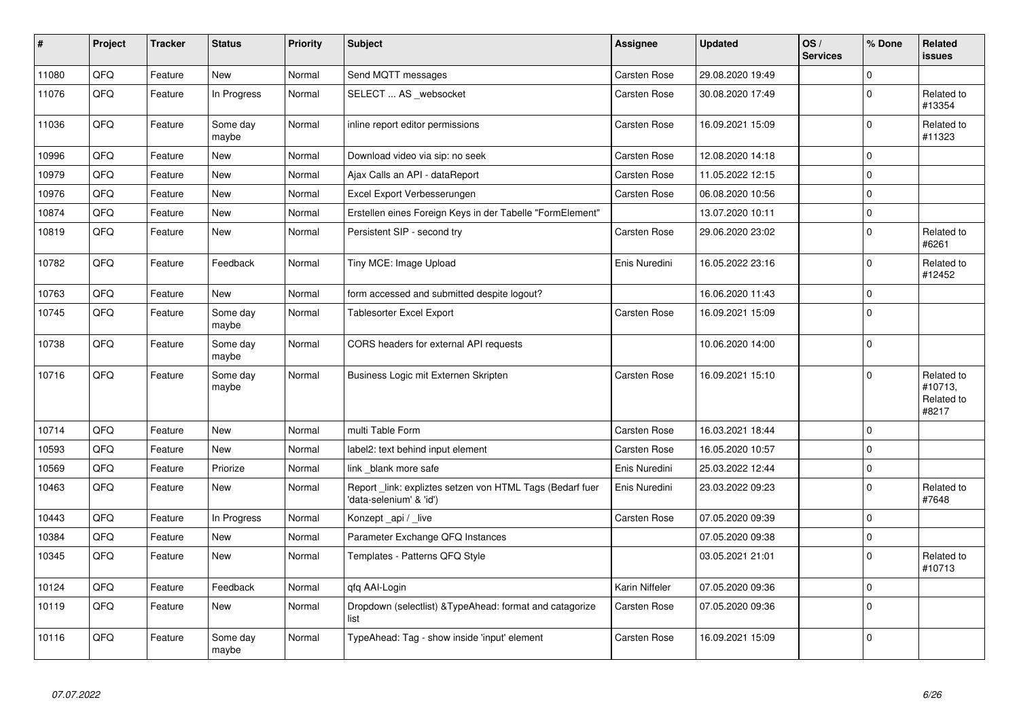| $\sharp$ | Project | <b>Tracker</b> | <b>Status</b>     | <b>Priority</b> | <b>Subject</b>                                                                      | Assignee            | <b>Updated</b>   | OS/<br><b>Services</b> | % Done      | Related<br><b>issues</b>                     |
|----------|---------|----------------|-------------------|-----------------|-------------------------------------------------------------------------------------|---------------------|------------------|------------------------|-------------|----------------------------------------------|
| 11080    | QFQ     | Feature        | <b>New</b>        | Normal          | Send MQTT messages                                                                  | Carsten Rose        | 29.08.2020 19:49 |                        | $\mathbf 0$ |                                              |
| 11076    | QFQ     | Feature        | In Progress       | Normal          | SELECT  AS _websocket                                                               | Carsten Rose        | 30.08.2020 17:49 |                        | $\Omega$    | Related to<br>#13354                         |
| 11036    | QFQ     | Feature        | Some day<br>maybe | Normal          | inline report editor permissions                                                    | Carsten Rose        | 16.09.2021 15:09 |                        | $\pmb{0}$   | Related to<br>#11323                         |
| 10996    | QFQ     | Feature        | New               | Normal          | Download video via sip: no seek                                                     | Carsten Rose        | 12.08.2020 14:18 |                        | $\pmb{0}$   |                                              |
| 10979    | QFQ     | Feature        | <b>New</b>        | Normal          | Ajax Calls an API - dataReport                                                      | Carsten Rose        | 11.05.2022 12:15 |                        | $\mathbf 0$ |                                              |
| 10976    | QFQ     | Feature        | New               | Normal          | Excel Export Verbesserungen                                                         | Carsten Rose        | 06.08.2020 10:56 |                        | $\pmb{0}$   |                                              |
| 10874    | QFQ     | Feature        | <b>New</b>        | Normal          | Erstellen eines Foreign Keys in der Tabelle "FormElement"                           |                     | 13.07.2020 10:11 |                        | $\pmb{0}$   |                                              |
| 10819    | QFQ     | Feature        | New               | Normal          | Persistent SIP - second try                                                         | Carsten Rose        | 29.06.2020 23:02 |                        | $\Omega$    | Related to<br>#6261                          |
| 10782    | QFQ     | Feature        | Feedback          | Normal          | Tiny MCE: Image Upload                                                              | Enis Nuredini       | 16.05.2022 23:16 |                        | $\mathbf 0$ | Related to<br>#12452                         |
| 10763    | QFQ     | Feature        | New               | Normal          | form accessed and submitted despite logout?                                         |                     | 16.06.2020 11:43 |                        | $\mathbf 0$ |                                              |
| 10745    | QFQ     | Feature        | Some day<br>maybe | Normal          | <b>Tablesorter Excel Export</b>                                                     | <b>Carsten Rose</b> | 16.09.2021 15:09 |                        | $\mathbf 0$ |                                              |
| 10738    | QFQ     | Feature        | Some day<br>maybe | Normal          | CORS headers for external API requests                                              |                     | 10.06.2020 14:00 |                        | $\Omega$    |                                              |
| 10716    | QFQ     | Feature        | Some day<br>maybe | Normal          | Business Logic mit Externen Skripten                                                | Carsten Rose        | 16.09.2021 15:10 |                        | $\Omega$    | Related to<br>#10713,<br>Related to<br>#8217 |
| 10714    | QFQ     | Feature        | New               | Normal          | multi Table Form                                                                    | Carsten Rose        | 16.03.2021 18:44 |                        | $\pmb{0}$   |                                              |
| 10593    | QFQ     | Feature        | New               | Normal          | label2: text behind input element                                                   | <b>Carsten Rose</b> | 16.05.2020 10:57 |                        | $\mathbf 0$ |                                              |
| 10569    | QFQ     | Feature        | Priorize          | Normal          | link blank more safe                                                                | Enis Nuredini       | 25.03.2022 12:44 |                        | $\pmb{0}$   |                                              |
| 10463    | QFQ     | Feature        | New               | Normal          | Report link: expliztes setzen von HTML Tags (Bedarf fuer<br>'data-selenium' & 'id') | Enis Nuredini       | 23.03.2022 09:23 |                        | $\Omega$    | Related to<br>#7648                          |
| 10443    | QFQ     | Feature        | In Progress       | Normal          | Konzept _api / _live                                                                | <b>Carsten Rose</b> | 07.05.2020 09:39 |                        | $\mathbf 0$ |                                              |
| 10384    | QFQ     | Feature        | New               | Normal          | Parameter Exchange QFQ Instances                                                    |                     | 07.05.2020 09:38 |                        | $\pmb{0}$   |                                              |
| 10345    | QFQ     | Feature        | New               | Normal          | Templates - Patterns QFQ Style                                                      |                     | 03.05.2021 21:01 |                        | $\mathbf 0$ | Related to<br>#10713                         |
| 10124    | QFQ     | Feature        | Feedback          | Normal          | qfq AAI-Login                                                                       | Karin Niffeler      | 07.05.2020 09:36 |                        | $\mathbf 0$ |                                              |
| 10119    | QFQ     | Feature        | New               | Normal          | Dropdown (selectlist) & Type Ahead: format and catagorize<br>list                   | <b>Carsten Rose</b> | 07.05.2020 09:36 |                        | $\mathbf 0$ |                                              |
| 10116    | QFQ     | Feature        | Some day<br>maybe | Normal          | TypeAhead: Tag - show inside 'input' element                                        | <b>Carsten Rose</b> | 16.09.2021 15:09 |                        | $\mathbf 0$ |                                              |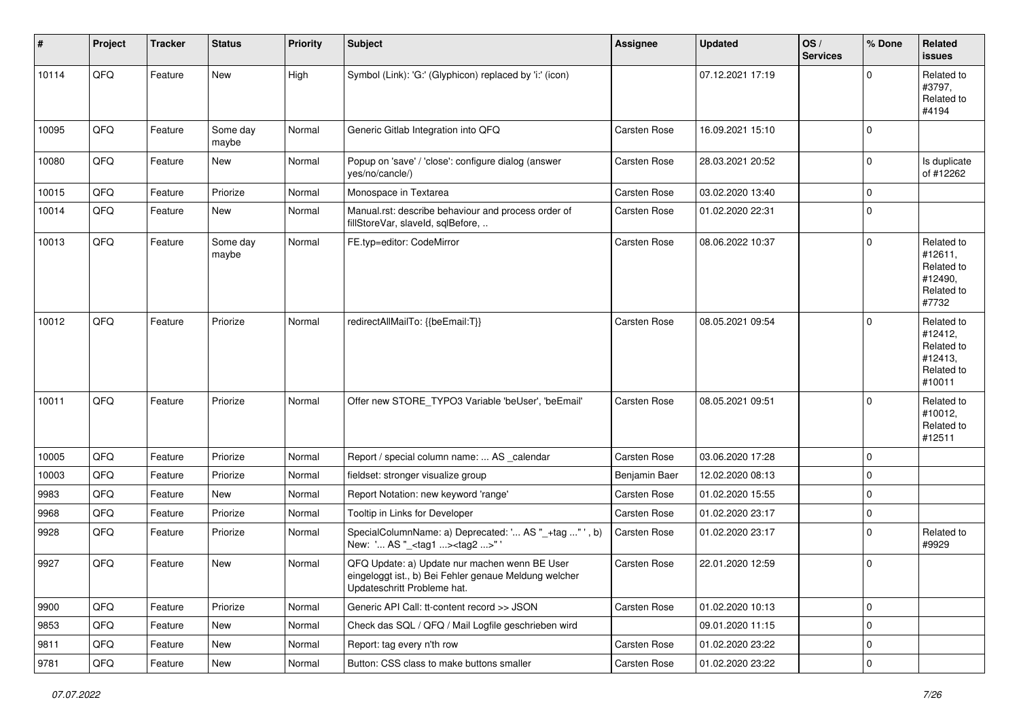| $\vert$ # | Project | <b>Tracker</b> | <b>Status</b>     | <b>Priority</b> | <b>Subject</b>                                                                                                                        | Assignee      | <b>Updated</b>   | OS/<br><b>Services</b> | % Done      | Related<br>issues                                                      |
|-----------|---------|----------------|-------------------|-----------------|---------------------------------------------------------------------------------------------------------------------------------------|---------------|------------------|------------------------|-------------|------------------------------------------------------------------------|
| 10114     | QFQ     | Feature        | New               | High            | Symbol (Link): 'G:' (Glyphicon) replaced by 'i:' (icon)                                                                               |               | 07.12.2021 17:19 |                        | $\Omega$    | Related to<br>#3797,<br>Related to<br>#4194                            |
| 10095     | QFQ     | Feature        | Some day<br>maybe | Normal          | Generic Gitlab Integration into QFQ                                                                                                   | Carsten Rose  | 16.09.2021 15:10 |                        | $\Omega$    |                                                                        |
| 10080     | QFQ     | Feature        | New               | Normal          | Popup on 'save' / 'close': configure dialog (answer<br>yes/no/cancle/)                                                                | Carsten Rose  | 28.03.2021 20:52 |                        | 0           | Is duplicate<br>of #12262                                              |
| 10015     | QFQ     | Feature        | Priorize          | Normal          | Monospace in Textarea                                                                                                                 | Carsten Rose  | 03.02.2020 13:40 |                        | $\mathbf 0$ |                                                                        |
| 10014     | QFQ     | Feature        | New               | Normal          | Manual.rst: describe behaviour and process order of<br>fillStoreVar, slaveId, sqlBefore,                                              | Carsten Rose  | 01.02.2020 22:31 |                        | $\mathbf 0$ |                                                                        |
| 10013     | QFQ     | Feature        | Some day<br>maybe | Normal          | FE.typ=editor: CodeMirror                                                                                                             | Carsten Rose  | 08.06.2022 10:37 |                        | $\Omega$    | Related to<br>#12611,<br>Related to<br>#12490,<br>Related to<br>#7732  |
| 10012     | QFQ     | Feature        | Priorize          | Normal          | redirectAllMailTo: {{beEmail:T}}                                                                                                      | Carsten Rose  | 08.05.2021 09:54 |                        | $\Omega$    | Related to<br>#12412,<br>Related to<br>#12413,<br>Related to<br>#10011 |
| 10011     | QFQ     | Feature        | Priorize          | Normal          | Offer new STORE_TYPO3 Variable 'beUser', 'beEmail'                                                                                    | Carsten Rose  | 08.05.2021 09:51 |                        | $\Omega$    | Related to<br>#10012,<br>Related to<br>#12511                          |
| 10005     | QFQ     | Feature        | Priorize          | Normal          | Report / special column name:  AS _calendar                                                                                           | Carsten Rose  | 03.06.2020 17:28 |                        | $\Omega$    |                                                                        |
| 10003     | QFQ     | Feature        | Priorize          | Normal          | fieldset: stronger visualize group                                                                                                    | Benjamin Baer | 12.02.2020 08:13 |                        | $\mathbf 0$ |                                                                        |
| 9983      | QFQ     | Feature        | New               | Normal          | Report Notation: new keyword 'range'                                                                                                  | Carsten Rose  | 01.02.2020 15:55 |                        | $\mathbf 0$ |                                                                        |
| 9968      | QFQ     | Feature        | Priorize          | Normal          | Tooltip in Links for Developer                                                                                                        | Carsten Rose  | 01.02.2020 23:17 |                        | 0           |                                                                        |
| 9928      | QFQ     | Feature        | Priorize          | Normal          | SpecialColumnName: a) Deprecated: ' AS "_+tag "', b)<br>New: ' AS "_ <tag1><tag2>"'</tag2></tag1>                                     | Carsten Rose  | 01.02.2020 23:17 |                        | $\mathbf 0$ | Related to<br>#9929                                                    |
| 9927      | QFQ     | Feature        | New               | Normal          | QFQ Update: a) Update nur machen wenn BE User<br>eingeloggt ist., b) Bei Fehler genaue Meldung welcher<br>Updateschritt Probleme hat. | Carsten Rose  | 22.01.2020 12:59 |                        | $\mathbf 0$ |                                                                        |
| 9900      | QFQ     | Feature        | Priorize          | Normal          | Generic API Call: tt-content record >> JSON                                                                                           | Carsten Rose  | 01.02.2020 10:13 |                        | 0           |                                                                        |
| 9853      | QFQ     | Feature        | New               | Normal          | Check das SQL / QFQ / Mail Logfile geschrieben wird                                                                                   |               | 09.01.2020 11:15 |                        | 0           |                                                                        |
| 9811      | QFQ     | Feature        | New               | Normal          | Report: tag every n'th row                                                                                                            | Carsten Rose  | 01.02.2020 23:22 |                        | 0           |                                                                        |
| 9781      | QFQ     | Feature        | New               | Normal          | Button: CSS class to make buttons smaller                                                                                             | Carsten Rose  | 01.02.2020 23:22 |                        | $\pmb{0}$   |                                                                        |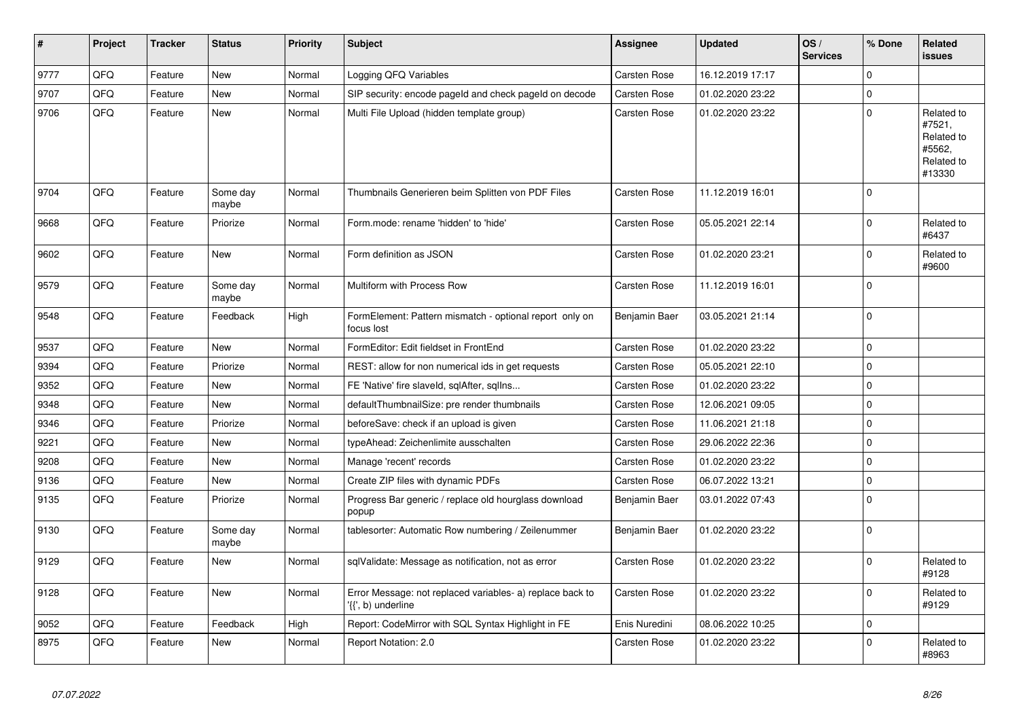| #    | Project | <b>Tracker</b> | <b>Status</b>     | <b>Priority</b> | <b>Subject</b>                                                                  | Assignee            | <b>Updated</b>   | OS/<br><b>Services</b> | % Done      | Related<br><b>issues</b>                                             |
|------|---------|----------------|-------------------|-----------------|---------------------------------------------------------------------------------|---------------------|------------------|------------------------|-------------|----------------------------------------------------------------------|
| 9777 | QFQ     | Feature        | <b>New</b>        | Normal          | Logging QFQ Variables                                                           | <b>Carsten Rose</b> | 16.12.2019 17:17 |                        | $\Omega$    |                                                                      |
| 9707 | QFQ     | Feature        | <b>New</b>        | Normal          | SIP security: encode pageld and check pageld on decode                          | Carsten Rose        | 01.02.2020 23:22 |                        | $\Omega$    |                                                                      |
| 9706 | QFQ     | Feature        | <b>New</b>        | Normal          | Multi File Upload (hidden template group)                                       | <b>Carsten Rose</b> | 01.02.2020 23:22 |                        | $\mathbf 0$ | Related to<br>#7521,<br>Related to<br>#5562,<br>Related to<br>#13330 |
| 9704 | QFQ     | Feature        | Some day<br>maybe | Normal          | Thumbnails Generieren beim Splitten von PDF Files                               | <b>Carsten Rose</b> | 11.12.2019 16:01 |                        | $\mathbf 0$ |                                                                      |
| 9668 | QFQ     | Feature        | Priorize          | Normal          | Form.mode: rename 'hidden' to 'hide'                                            | Carsten Rose        | 05.05.2021 22:14 |                        | $\mathbf 0$ | Related to<br>#6437                                                  |
| 9602 | QFQ     | Feature        | New               | Normal          | Form definition as JSON                                                         | Carsten Rose        | 01.02.2020 23:21 |                        | $\mathbf 0$ | Related to<br>#9600                                                  |
| 9579 | QFQ     | Feature        | Some day<br>maybe | Normal          | Multiform with Process Row                                                      | Carsten Rose        | 11.12.2019 16:01 |                        | $\mathbf 0$ |                                                                      |
| 9548 | QFQ     | Feature        | Feedback          | High            | FormElement: Pattern mismatch - optional report only on<br>focus lost           | Benjamin Baer       | 03.05.2021 21:14 |                        | $\pmb{0}$   |                                                                      |
| 9537 | QFQ     | Feature        | <b>New</b>        | Normal          | FormEditor: Edit fieldset in FrontEnd                                           | Carsten Rose        | 01.02.2020 23:22 |                        | $\mathbf 0$ |                                                                      |
| 9394 | QFQ     | Feature        | Priorize          | Normal          | REST: allow for non numerical ids in get requests                               | <b>Carsten Rose</b> | 05.05.2021 22:10 |                        | $\mathbf 0$ |                                                                      |
| 9352 | QFQ     | Feature        | <b>New</b>        | Normal          | FE 'Native' fire slaveld, sqlAfter, sqlIns                                      | <b>Carsten Rose</b> | 01.02.2020 23:22 |                        | $\mathbf 0$ |                                                                      |
| 9348 | QFQ     | Feature        | <b>New</b>        | Normal          | defaultThumbnailSize: pre render thumbnails                                     | Carsten Rose        | 12.06.2021 09:05 |                        | $\mathbf 0$ |                                                                      |
| 9346 | QFQ     | Feature        | Priorize          | Normal          | beforeSave: check if an upload is given                                         | Carsten Rose        | 11.06.2021 21:18 |                        | $\mathbf 0$ |                                                                      |
| 9221 | QFQ     | Feature        | <b>New</b>        | Normal          | typeAhead: Zeichenlimite ausschalten                                            | <b>Carsten Rose</b> | 29.06.2022 22:36 |                        | $\mathbf 0$ |                                                                      |
| 9208 | QFQ     | Feature        | <b>New</b>        | Normal          | Manage 'recent' records                                                         | Carsten Rose        | 01.02.2020 23:22 |                        | $\mathbf 0$ |                                                                      |
| 9136 | QFQ     | Feature        | New               | Normal          | Create ZIP files with dynamic PDFs                                              | Carsten Rose        | 06.07.2022 13:21 |                        | $\mathbf 0$ |                                                                      |
| 9135 | QFQ     | Feature        | Priorize          | Normal          | Progress Bar generic / replace old hourglass download<br>popup                  | Benjamin Baer       | 03.01.2022 07:43 |                        | $\mathbf 0$ |                                                                      |
| 9130 | QFQ     | Feature        | Some day<br>maybe | Normal          | tablesorter: Automatic Row numbering / Zeilenummer                              | Benjamin Baer       | 01.02.2020 23:22 |                        | $\mathbf 0$ |                                                                      |
| 9129 | QFQ     | Feature        | New               | Normal          | sqlValidate: Message as notification, not as error                              | Carsten Rose        | 01.02.2020 23:22 |                        | $\mathbf 0$ | Related to<br>#9128                                                  |
| 9128 | QFQ     | Feature        | <b>New</b>        | Normal          | Error Message: not replaced variables- a) replace back to<br>'{{', b) underline | Carsten Rose        | 01.02.2020 23:22 |                        | $\mathbf 0$ | Related to<br>#9129                                                  |
| 9052 | QFQ     | Feature        | Feedback          | High            | Report: CodeMirror with SQL Syntax Highlight in FE                              | Enis Nuredini       | 08.06.2022 10:25 |                        | $\mathbf 0$ |                                                                      |
| 8975 | QFQ     | Feature        | <b>New</b>        | Normal          | Report Notation: 2.0                                                            | Carsten Rose        | 01.02.2020 23:22 |                        | $\Omega$    | Related to<br>#8963                                                  |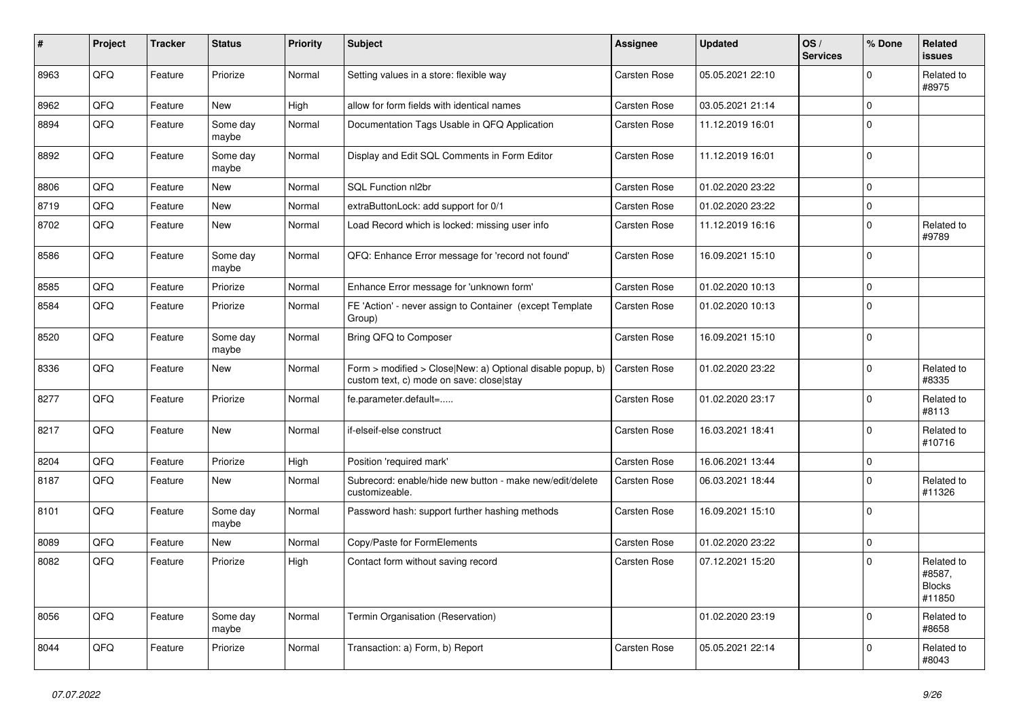| #    | Project | <b>Tracker</b> | <b>Status</b>     | <b>Priority</b> | <b>Subject</b>                                                                                         | Assignee            | <b>Updated</b>   | OS/<br><b>Services</b> | % Done      | Related<br><b>issues</b>                        |
|------|---------|----------------|-------------------|-----------------|--------------------------------------------------------------------------------------------------------|---------------------|------------------|------------------------|-------------|-------------------------------------------------|
| 8963 | QFQ     | Feature        | Priorize          | Normal          | Setting values in a store: flexible way                                                                | Carsten Rose        | 05.05.2021 22:10 |                        | $\mathbf 0$ | Related to<br>#8975                             |
| 8962 | QFQ     | Feature        | New               | High            | allow for form fields with identical names                                                             | <b>Carsten Rose</b> | 03.05.2021 21:14 |                        | $\pmb{0}$   |                                                 |
| 8894 | QFQ     | Feature        | Some day<br>maybe | Normal          | Documentation Tags Usable in QFQ Application                                                           | <b>Carsten Rose</b> | 11.12.2019 16:01 |                        | $\Omega$    |                                                 |
| 8892 | QFQ     | Feature        | Some day<br>maybe | Normal          | Display and Edit SQL Comments in Form Editor                                                           | Carsten Rose        | 11.12.2019 16:01 |                        | $\mathbf 0$ |                                                 |
| 8806 | QFQ     | Feature        | New               | Normal          | SQL Function nl2br                                                                                     | <b>Carsten Rose</b> | 01.02.2020 23:22 |                        | $\mathbf 0$ |                                                 |
| 8719 | QFQ     | Feature        | New               | Normal          | extraButtonLock: add support for 0/1                                                                   | <b>Carsten Rose</b> | 01.02.2020 23:22 |                        | $\pmb{0}$   |                                                 |
| 8702 | QFQ     | Feature        | New               | Normal          | Load Record which is locked: missing user info                                                         | <b>Carsten Rose</b> | 11.12.2019 16:16 |                        | $\mathbf 0$ | Related to<br>#9789                             |
| 8586 | QFQ     | Feature        | Some day<br>maybe | Normal          | QFQ: Enhance Error message for 'record not found'                                                      | Carsten Rose        | 16.09.2021 15:10 |                        | $\Omega$    |                                                 |
| 8585 | QFQ     | Feature        | Priorize          | Normal          | Enhance Error message for 'unknown form'                                                               | <b>Carsten Rose</b> | 01.02.2020 10:13 |                        | $\mathbf 0$ |                                                 |
| 8584 | QFQ     | Feature        | Priorize          | Normal          | FE 'Action' - never assign to Container (except Template<br>Group)                                     | Carsten Rose        | 01.02.2020 10:13 |                        | $\mathbf 0$ |                                                 |
| 8520 | QFQ     | Feature        | Some day<br>maybe | Normal          | Bring QFQ to Composer                                                                                  | <b>Carsten Rose</b> | 16.09.2021 15:10 |                        | $\mathbf 0$ |                                                 |
| 8336 | QFQ     | Feature        | <b>New</b>        | Normal          | Form > modified > Close New: a) Optional disable popup, b)<br>custom text, c) mode on save: close stay | Carsten Rose        | 01.02.2020 23:22 |                        | $\Omega$    | Related to<br>#8335                             |
| 8277 | QFQ     | Feature        | Priorize          | Normal          | fe.parameter.default=                                                                                  | <b>Carsten Rose</b> | 01.02.2020 23:17 |                        | $\Omega$    | Related to<br>#8113                             |
| 8217 | QFQ     | Feature        | New               | Normal          | if-elseif-else construct                                                                               | <b>Carsten Rose</b> | 16.03.2021 18:41 |                        | $\mathbf 0$ | Related to<br>#10716                            |
| 8204 | QFQ     | Feature        | Priorize          | High            | Position 'required mark'                                                                               | <b>Carsten Rose</b> | 16.06.2021 13:44 |                        | $\mathbf 0$ |                                                 |
| 8187 | QFQ     | Feature        | <b>New</b>        | Normal          | Subrecord: enable/hide new button - make new/edit/delete<br>customizeable.                             | Carsten Rose        | 06.03.2021 18:44 |                        | $\Omega$    | Related to<br>#11326                            |
| 8101 | QFQ     | Feature        | Some day<br>maybe | Normal          | Password hash: support further hashing methods                                                         | <b>Carsten Rose</b> | 16.09.2021 15:10 |                        | $\mathbf 0$ |                                                 |
| 8089 | QFQ     | Feature        | New               | Normal          | Copy/Paste for FormElements                                                                            | <b>Carsten Rose</b> | 01.02.2020 23:22 |                        | $\mathbf 0$ |                                                 |
| 8082 | QFQ     | Feature        | Priorize          | High            | Contact form without saving record                                                                     | Carsten Rose        | 07.12.2021 15:20 |                        | $\Omega$    | Related to<br>#8587,<br><b>Blocks</b><br>#11850 |
| 8056 | QFQ     | Feature        | Some day<br>maybe | Normal          | Termin Organisation (Reservation)                                                                      |                     | 01.02.2020 23:19 |                        | $\mathbf 0$ | Related to<br>#8658                             |
| 8044 | QFQ     | Feature        | Priorize          | Normal          | Transaction: a) Form, b) Report                                                                        | <b>Carsten Rose</b> | 05.05.2021 22:14 |                        | $\mathbf 0$ | Related to<br>#8043                             |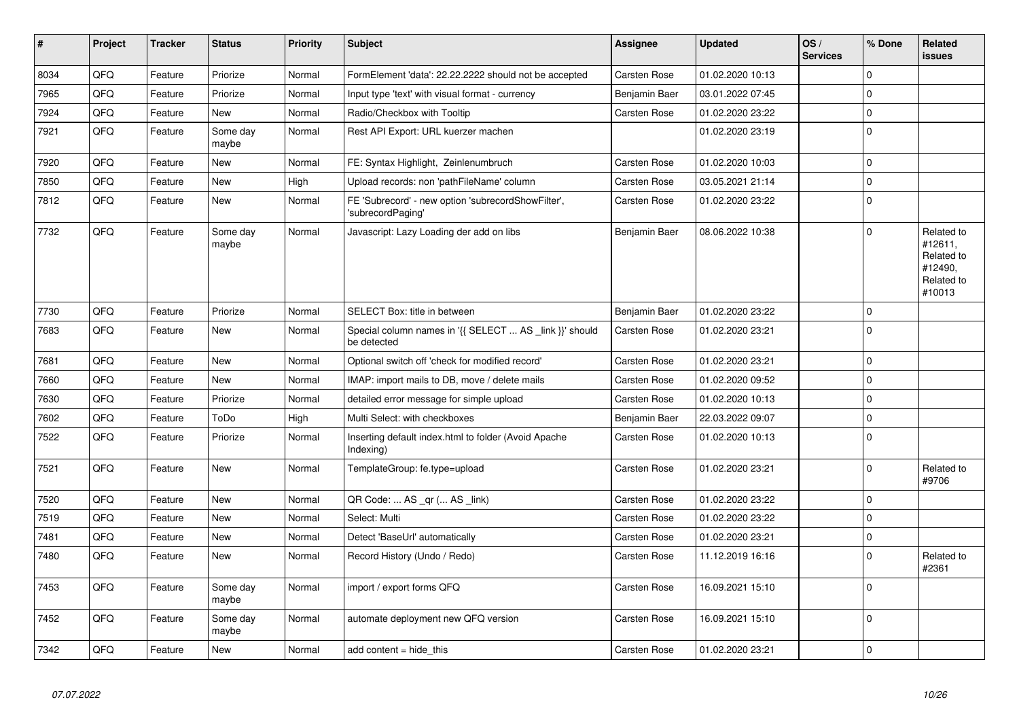| #    | Project | <b>Tracker</b> | <b>Status</b>     | <b>Priority</b> | <b>Subject</b>                                                          | Assignee            | <b>Updated</b>   | OS/<br><b>Services</b> | % Done      | Related<br><b>issues</b>                                               |
|------|---------|----------------|-------------------|-----------------|-------------------------------------------------------------------------|---------------------|------------------|------------------------|-------------|------------------------------------------------------------------------|
| 8034 | QFQ     | Feature        | Priorize          | Normal          | FormElement 'data': 22.22.2222 should not be accepted                   | <b>Carsten Rose</b> | 01.02.2020 10:13 |                        | $\mathbf 0$ |                                                                        |
| 7965 | QFQ     | Feature        | Priorize          | Normal          | Input type 'text' with visual format - currency                         | Benjamin Baer       | 03.01.2022 07:45 |                        | $\mathbf 0$ |                                                                        |
| 7924 | QFQ     | Feature        | <b>New</b>        | Normal          | Radio/Checkbox with Tooltip                                             | <b>Carsten Rose</b> | 01.02.2020 23:22 |                        | $\mathbf 0$ |                                                                        |
| 7921 | QFQ     | Feature        | Some day<br>maybe | Normal          | Rest API Export: URL kuerzer machen                                     |                     | 01.02.2020 23:19 |                        | $\mathbf 0$ |                                                                        |
| 7920 | QFQ     | Feature        | <b>New</b>        | Normal          | FE: Syntax Highlight, Zeinlenumbruch                                    | Carsten Rose        | 01.02.2020 10:03 |                        | $\mathbf 0$ |                                                                        |
| 7850 | QFQ     | Feature        | <b>New</b>        | High            | Upload records: non 'pathFileName' column                               | <b>Carsten Rose</b> | 03.05.2021 21:14 |                        | $\mathbf 0$ |                                                                        |
| 7812 | QFQ     | Feature        | <b>New</b>        | Normal          | FE 'Subrecord' - new option 'subrecordShowFilter',<br>'subrecordPaging' | Carsten Rose        | 01.02.2020 23:22 |                        | $\pmb{0}$   |                                                                        |
| 7732 | QFQ     | Feature        | Some day<br>maybe | Normal          | Javascript: Lazy Loading der add on libs                                | Benjamin Baer       | 08.06.2022 10:38 |                        | $\Omega$    | Related to<br>#12611,<br>Related to<br>#12490,<br>Related to<br>#10013 |
| 7730 | QFQ     | Feature        | Priorize          | Normal          | SELECT Box: title in between                                            | Benjamin Baer       | 01.02.2020 23:22 |                        | $\mathbf 0$ |                                                                        |
| 7683 | QFQ     | Feature        | New               | Normal          | Special column names in '{{ SELECT  AS _link }}' should<br>be detected  | Carsten Rose        | 01.02.2020 23:21 |                        | $\mathbf 0$ |                                                                        |
| 7681 | QFQ     | Feature        | <b>New</b>        | Normal          | Optional switch off 'check for modified record'                         | Carsten Rose        | 01.02.2020 23:21 |                        | $\mathbf 0$ |                                                                        |
| 7660 | QFQ     | Feature        | New               | Normal          | IMAP: import mails to DB, move / delete mails                           | <b>Carsten Rose</b> | 01.02.2020 09:52 |                        | $\mathbf 0$ |                                                                        |
| 7630 | QFQ     | Feature        | Priorize          | Normal          | detailed error message for simple upload                                | <b>Carsten Rose</b> | 01.02.2020 10:13 |                        | $\mathbf 0$ |                                                                        |
| 7602 | QFQ     | Feature        | ToDo              | High            | Multi Select: with checkboxes                                           | Benjamin Baer       | 22.03.2022 09:07 |                        | $\pmb{0}$   |                                                                        |
| 7522 | QFQ     | Feature        | Priorize          | Normal          | Inserting default index.html to folder (Avoid Apache<br>Indexing)       | Carsten Rose        | 01.02.2020 10:13 |                        | $\mathbf 0$ |                                                                        |
| 7521 | QFQ     | Feature        | <b>New</b>        | Normal          | TemplateGroup: fe.type=upload                                           | <b>Carsten Rose</b> | 01.02.2020 23:21 |                        | $\mathbf 0$ | Related to<br>#9706                                                    |
| 7520 | QFQ     | Feature        | <b>New</b>        | Normal          | QR Code:  AS _qr ( AS _link)                                            | Carsten Rose        | 01.02.2020 23:22 |                        | $\mathbf 0$ |                                                                        |
| 7519 | QFQ     | Feature        | New               | Normal          | Select: Multi                                                           | Carsten Rose        | 01.02.2020 23:22 |                        | $\mathbf 0$ |                                                                        |
| 7481 | QFQ     | Feature        | <b>New</b>        | Normal          | Detect 'BaseUrl' automatically                                          | Carsten Rose        | 01.02.2020 23:21 |                        | $\mathbf 0$ |                                                                        |
| 7480 | QFQ     | Feature        | New               | Normal          | Record History (Undo / Redo)                                            | Carsten Rose        | 11.12.2019 16:16 |                        | $\mathbf 0$ | Related to<br>#2361                                                    |
| 7453 | QFQ     | Feature        | Some day<br>maybe | Normal          | import / export forms QFQ                                               | Carsten Rose        | 16.09.2021 15:10 |                        | $\mathbf 0$ |                                                                        |
| 7452 | QFQ     | Feature        | Some day<br>maybe | Normal          | automate deployment new QFQ version                                     | Carsten Rose        | 16.09.2021 15:10 |                        | $\mathbf 0$ |                                                                        |
| 7342 | QFQ     | Feature        | New               | Normal          | add content $=$ hide this                                               | <b>Carsten Rose</b> | 01.02.2020 23:21 |                        | $\mathbf 0$ |                                                                        |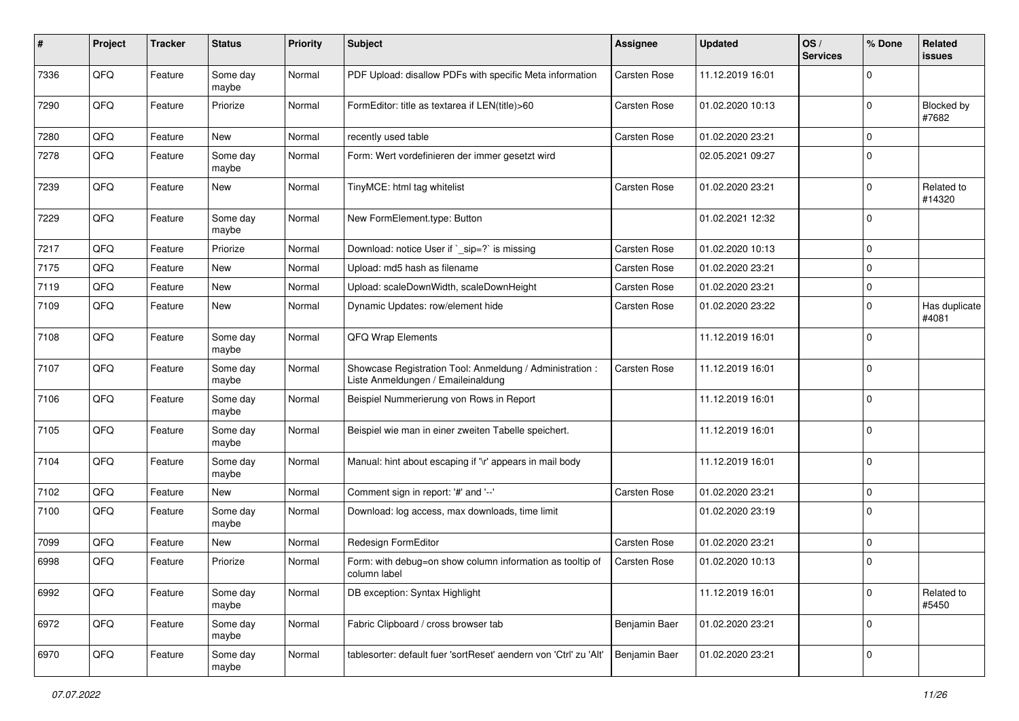| #    | Project | <b>Tracker</b> | <b>Status</b>     | <b>Priority</b> | Subject                                                                                        | Assignee            | <b>Updated</b>   | OS/<br><b>Services</b> | % Done      | Related<br>issues      |
|------|---------|----------------|-------------------|-----------------|------------------------------------------------------------------------------------------------|---------------------|------------------|------------------------|-------------|------------------------|
| 7336 | QFQ     | Feature        | Some day<br>maybe | Normal          | PDF Upload: disallow PDFs with specific Meta information                                       | <b>Carsten Rose</b> | 11.12.2019 16:01 |                        | $\Omega$    |                        |
| 7290 | QFQ     | Feature        | Priorize          | Normal          | FormEditor: title as textarea if LEN(title)>60                                                 | Carsten Rose        | 01.02.2020 10:13 |                        | $\mathbf 0$ | Blocked by<br>#7682    |
| 7280 | QFQ     | Feature        | New               | Normal          | recently used table                                                                            | <b>Carsten Rose</b> | 01.02.2020 23:21 |                        | $\Omega$    |                        |
| 7278 | QFQ     | Feature        | Some day<br>maybe | Normal          | Form: Wert vordefinieren der immer gesetzt wird                                                |                     | 02.05.2021 09:27 |                        | $\Omega$    |                        |
| 7239 | QFQ     | Feature        | New               | Normal          | TinyMCE: html tag whitelist                                                                    | Carsten Rose        | 01.02.2020 23:21 |                        | $\mathbf 0$ | Related to<br>#14320   |
| 7229 | QFQ     | Feature        | Some day<br>maybe | Normal          | New FormElement.type: Button                                                                   |                     | 01.02.2021 12:32 |                        | $\mathbf 0$ |                        |
| 7217 | QFQ     | Feature        | Priorize          | Normal          | Download: notice User if `_sip=?` is missing                                                   | <b>Carsten Rose</b> | 01.02.2020 10:13 |                        | 0           |                        |
| 7175 | QFQ     | Feature        | New               | Normal          | Upload: md5 hash as filename                                                                   | Carsten Rose        | 01.02.2020 23:21 |                        | $\mathbf 0$ |                        |
| 7119 | QFQ     | Feature        | New               | Normal          | Upload: scaleDownWidth, scaleDownHeight                                                        | Carsten Rose        | 01.02.2020 23:21 |                        | $\mathbf 0$ |                        |
| 7109 | QFQ     | Feature        | New               | Normal          | Dynamic Updates: row/element hide                                                              | Carsten Rose        | 01.02.2020 23:22 |                        | $\mathbf 0$ | Has duplicate<br>#4081 |
| 7108 | QFQ     | Feature        | Some day<br>maybe | Normal          | <b>QFQ Wrap Elements</b>                                                                       |                     | 11.12.2019 16:01 |                        | $\mathbf 0$ |                        |
| 7107 | QFQ     | Feature        | Some day<br>maybe | Normal          | Showcase Registration Tool: Anmeldung / Administration :<br>Liste Anmeldungen / Emaileinaldung | Carsten Rose        | 11.12.2019 16:01 |                        | $\mathbf 0$ |                        |
| 7106 | QFQ     | Feature        | Some day<br>maybe | Normal          | Beispiel Nummerierung von Rows in Report                                                       |                     | 11.12.2019 16:01 |                        | $\mathbf 0$ |                        |
| 7105 | QFQ     | Feature        | Some day<br>maybe | Normal          | Beispiel wie man in einer zweiten Tabelle speichert.                                           |                     | 11.12.2019 16:01 |                        | $\mathbf 0$ |                        |
| 7104 | QFQ     | Feature        | Some day<br>maybe | Normal          | Manual: hint about escaping if '\r' appears in mail body                                       |                     | 11.12.2019 16:01 |                        | $\mathbf 0$ |                        |
| 7102 | QFQ     | Feature        | New               | Normal          | Comment sign in report: '#' and '--'                                                           | <b>Carsten Rose</b> | 01.02.2020 23:21 |                        | $\mathbf 0$ |                        |
| 7100 | QFQ     | Feature        | Some day<br>maybe | Normal          | Download: log access, max downloads, time limit                                                |                     | 01.02.2020 23:19 |                        | $\mathbf 0$ |                        |
| 7099 | QFQ     | Feature        | New               | Normal          | Redesign FormEditor                                                                            | Carsten Rose        | 01.02.2020 23:21 |                        | $\mathbf 0$ |                        |
| 6998 | QFQ     | Feature        | Priorize          | Normal          | Form: with debug=on show column information as tooltip of<br>column label                      | Carsten Rose        | 01.02.2020 10:13 |                        | 0           |                        |
| 6992 | QFQ     | Feature        | Some day<br>maybe | Normal          | DB exception: Syntax Highlight                                                                 |                     | 11.12.2019 16:01 |                        | $\mathbf 0$ | Related to<br>#5450    |
| 6972 | QFQ     | Feature        | Some day<br>maybe | Normal          | Fabric Clipboard / cross browser tab                                                           | Benjamin Baer       | 01.02.2020 23:21 |                        | 0           |                        |
| 6970 | QFQ     | Feature        | Some day<br>maybe | Normal          | tablesorter: default fuer 'sortReset' aendern von 'Ctrl' zu 'Alt'                              | Benjamin Baer       | 01.02.2020 23:21 |                        | $\mathbf 0$ |                        |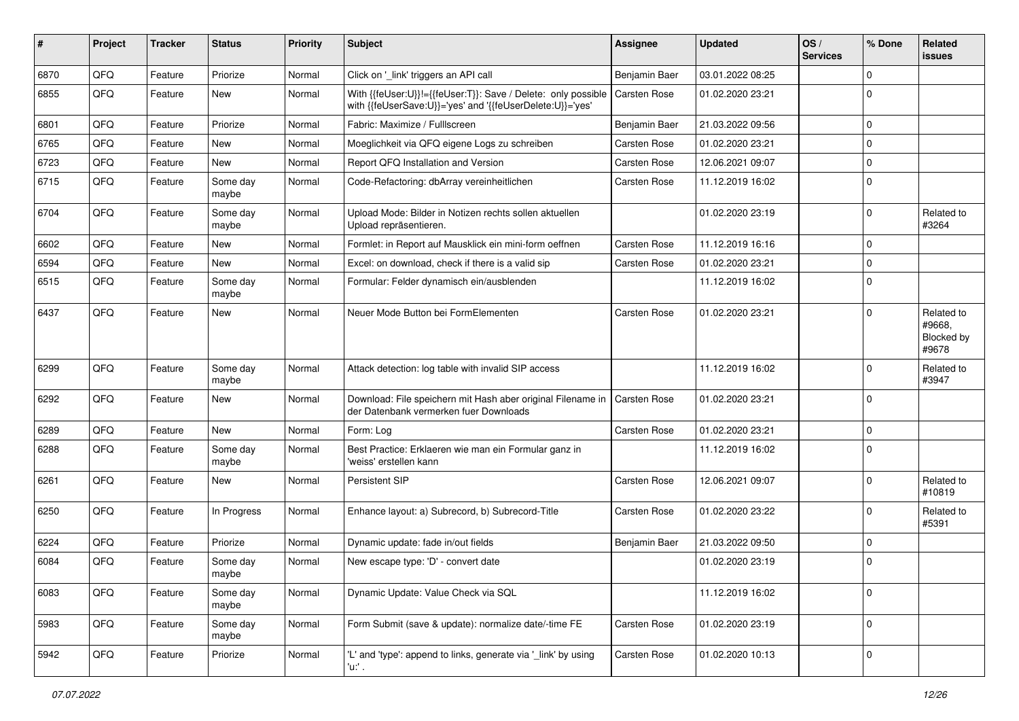| $\pmb{\#}$ | Project | <b>Tracker</b> | <b>Status</b>     | <b>Priority</b> | <b>Subject</b>                                                                                                             | Assignee      | <b>Updated</b>   | OS/<br><b>Services</b> | % Done      | Related<br>issues                           |
|------------|---------|----------------|-------------------|-----------------|----------------------------------------------------------------------------------------------------------------------------|---------------|------------------|------------------------|-------------|---------------------------------------------|
| 6870       | QFQ     | Feature        | Priorize          | Normal          | Click on '_link' triggers an API call                                                                                      | Benjamin Baer | 03.01.2022 08:25 |                        | $\Omega$    |                                             |
| 6855       | QFQ     | Feature        | New               | Normal          | With {{feUser:U}}!={{feUser:T}}: Save / Delete: only possible<br>with {{feUserSave:U}}='yes' and '{{feUserDelete:U}}='yes' | Carsten Rose  | 01.02.2020 23:21 |                        | $\Omega$    |                                             |
| 6801       | QFQ     | Feature        | Priorize          | Normal          | Fabric: Maximize / FullIscreen                                                                                             | Benjamin Baer | 21.03.2022 09:56 |                        | $\mathbf 0$ |                                             |
| 6765       | QFQ     | Feature        | New               | Normal          | Moeglichkeit via QFQ eigene Logs zu schreiben                                                                              | Carsten Rose  | 01.02.2020 23:21 |                        | $\mathbf 0$ |                                             |
| 6723       | QFQ     | Feature        | New               | Normal          | Report QFQ Installation and Version                                                                                        | Carsten Rose  | 12.06.2021 09:07 |                        | $\Omega$    |                                             |
| 6715       | QFQ     | Feature        | Some day<br>maybe | Normal          | Code-Refactoring: dbArray vereinheitlichen                                                                                 | Carsten Rose  | 11.12.2019 16:02 |                        | $\Omega$    |                                             |
| 6704       | QFQ     | Feature        | Some day<br>maybe | Normal          | Upload Mode: Bilder in Notizen rechts sollen aktuellen<br>Upload repräsentieren.                                           |               | 01.02.2020 23:19 |                        | $\Omega$    | Related to<br>#3264                         |
| 6602       | QFQ     | Feature        | New               | Normal          | Formlet: in Report auf Mausklick ein mini-form oeffnen                                                                     | Carsten Rose  | 11.12.2019 16:16 |                        | $\Omega$    |                                             |
| 6594       | QFQ     | Feature        | New               | Normal          | Excel: on download, check if there is a valid sip                                                                          | Carsten Rose  | 01.02.2020 23:21 |                        | $\Omega$    |                                             |
| 6515       | QFQ     | Feature        | Some day<br>maybe | Normal          | Formular: Felder dynamisch ein/ausblenden                                                                                  |               | 11.12.2019 16:02 |                        | $\Omega$    |                                             |
| 6437       | QFQ     | Feature        | New               | Normal          | Neuer Mode Button bei FormElementen                                                                                        | Carsten Rose  | 01.02.2020 23:21 |                        | $\Omega$    | Related to<br>#9668.<br>Blocked by<br>#9678 |
| 6299       | QFQ     | Feature        | Some day<br>maybe | Normal          | Attack detection: log table with invalid SIP access                                                                        |               | 11.12.2019 16:02 |                        | $\Omega$    | Related to<br>#3947                         |
| 6292       | QFQ     | Feature        | New               | Normal          | Download: File speichern mit Hash aber original Filename in<br>der Datenbank vermerken fuer Downloads                      | Carsten Rose  | 01.02.2020 23:21 |                        | $\Omega$    |                                             |
| 6289       | QFQ     | Feature        | New               | Normal          | Form: Log                                                                                                                  | Carsten Rose  | 01.02.2020 23:21 |                        | $\Omega$    |                                             |
| 6288       | QFQ     | Feature        | Some day<br>maybe | Normal          | Best Practice: Erklaeren wie man ein Formular ganz in<br>'weiss' erstellen kann                                            |               | 11.12.2019 16:02 |                        | $\Omega$    |                                             |
| 6261       | QFQ     | Feature        | New               | Normal          | Persistent SIP                                                                                                             | Carsten Rose  | 12.06.2021 09:07 |                        | $\Omega$    | Related to<br>#10819                        |
| 6250       | QFQ     | Feature        | In Progress       | Normal          | Enhance layout: a) Subrecord, b) Subrecord-Title                                                                           | Carsten Rose  | 01.02.2020 23:22 |                        | $\Omega$    | Related to<br>#5391                         |
| 6224       | QFQ     | Feature        | Priorize          | Normal          | Dynamic update: fade in/out fields                                                                                         | Benjamin Baer | 21.03.2022 09:50 |                        | $\Omega$    |                                             |
| 6084       | QFQ     | Feature        | Some day<br>maybe | Normal          | New escape type: 'D' - convert date                                                                                        |               | 01.02.2020 23:19 |                        | $\Omega$    |                                             |
| 6083       | QFQ     | Feature        | Some day<br>maybe | Normal          | Dynamic Update: Value Check via SQL                                                                                        |               | 11.12.2019 16:02 |                        | $\mathbf 0$ |                                             |
| 5983       | QFQ     | Feature        | Some day<br>maybe | Normal          | Form Submit (save & update): normalize date/-time FE                                                                       | Carsten Rose  | 01.02.2020 23:19 |                        | $\mathbf 0$ |                                             |
| 5942       | QFQ     | Feature        | Priorize          | Normal          | 'L' and 'type': append to links, generate via '_link' by using<br>'u ' .                                                   | Carsten Rose  | 01.02.2020 10:13 |                        | 0           |                                             |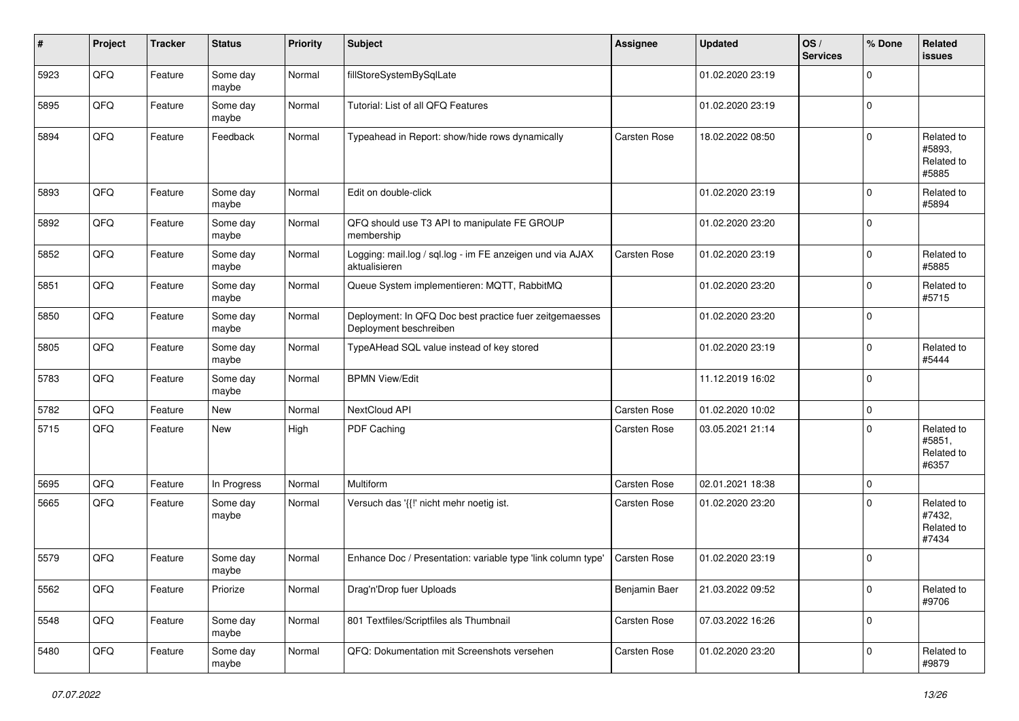| #    | Project | <b>Tracker</b> | <b>Status</b>     | <b>Priority</b> | <b>Subject</b>                                                                    | Assignee      | <b>Updated</b>   | OS/<br><b>Services</b> | % Done      | Related<br>issues                           |
|------|---------|----------------|-------------------|-----------------|-----------------------------------------------------------------------------------|---------------|------------------|------------------------|-------------|---------------------------------------------|
| 5923 | QFQ     | Feature        | Some day<br>maybe | Normal          | fillStoreSystemBySqlLate                                                          |               | 01.02.2020 23:19 |                        | $\Omega$    |                                             |
| 5895 | QFQ     | Feature        | Some day<br>maybe | Normal          | Tutorial: List of all QFQ Features                                                |               | 01.02.2020 23:19 |                        | $\mathbf 0$ |                                             |
| 5894 | QFQ     | Feature        | Feedback          | Normal          | Typeahead in Report: show/hide rows dynamically                                   | Carsten Rose  | 18.02.2022 08:50 |                        | $\Omega$    | Related to<br>#5893,<br>Related to<br>#5885 |
| 5893 | QFQ     | Feature        | Some day<br>maybe | Normal          | Edit on double-click                                                              |               | 01.02.2020 23:19 |                        | $\Omega$    | Related to<br>#5894                         |
| 5892 | QFQ     | Feature        | Some day<br>maybe | Normal          | QFQ should use T3 API to manipulate FE GROUP<br>membership                        |               | 01.02.2020 23:20 |                        | 0           |                                             |
| 5852 | QFQ     | Feature        | Some day<br>maybe | Normal          | Logging: mail.log / sql.log - im FE anzeigen und via AJAX<br>aktualisieren        | Carsten Rose  | 01.02.2020 23:19 |                        | $\mathbf 0$ | Related to<br>#5885                         |
| 5851 | QFQ     | Feature        | Some day<br>maybe | Normal          | Queue System implementieren: MQTT, RabbitMQ                                       |               | 01.02.2020 23:20 |                        | $\mathbf 0$ | Related to<br>#5715                         |
| 5850 | QFQ     | Feature        | Some day<br>maybe | Normal          | Deployment: In QFQ Doc best practice fuer zeitgemaesses<br>Deployment beschreiben |               | 01.02.2020 23:20 |                        | $\mathbf 0$ |                                             |
| 5805 | QFQ     | Feature        | Some day<br>maybe | Normal          | TypeAHead SQL value instead of key stored                                         |               | 01.02.2020 23:19 |                        | $\mathbf 0$ | Related to<br>#5444                         |
| 5783 | QFQ     | Feature        | Some day<br>maybe | Normal          | <b>BPMN View/Edit</b>                                                             |               | 11.12.2019 16:02 |                        | $\mathbf 0$ |                                             |
| 5782 | QFQ     | Feature        | <b>New</b>        | Normal          | NextCloud API                                                                     | Carsten Rose  | 01.02.2020 10:02 |                        | $\mathbf 0$ |                                             |
| 5715 | QFQ     | Feature        | New               | High            | PDF Caching                                                                       | Carsten Rose  | 03.05.2021 21:14 |                        | $\Omega$    | Related to<br>#5851,<br>Related to<br>#6357 |
| 5695 | QFQ     | Feature        | In Progress       | Normal          | Multiform                                                                         | Carsten Rose  | 02.01.2021 18:38 |                        | $\mathbf 0$ |                                             |
| 5665 | QFQ     | Feature        | Some day<br>maybe | Normal          | Versuch das '{{!' nicht mehr noetig ist.                                          | Carsten Rose  | 01.02.2020 23:20 |                        | $\Omega$    | Related to<br>#7432,<br>Related to<br>#7434 |
| 5579 | QFQ     | Feature        | Some day<br>maybe | Normal          | Enhance Doc / Presentation: variable type 'link column type'                      | Carsten Rose  | 01.02.2020 23:19 |                        | $\Omega$    |                                             |
| 5562 | QFG     | Feature        | Priorize          | Normal          | Drag'n'Drop fuer Uploads                                                          | Benjamin Baer | 21.03.2022 09:52 |                        | $\pmb{0}$   | Related to<br>#9706                         |
| 5548 | QFQ     | Feature        | Some day<br>maybe | Normal          | 801 Textfiles/Scriptfiles als Thumbnail                                           | Carsten Rose  | 07.03.2022 16:26 |                        | 0           |                                             |
| 5480 | QFQ     | Feature        | Some day<br>maybe | Normal          | QFQ: Dokumentation mit Screenshots versehen                                       | Carsten Rose  | 01.02.2020 23:20 |                        | 0           | Related to<br>#9879                         |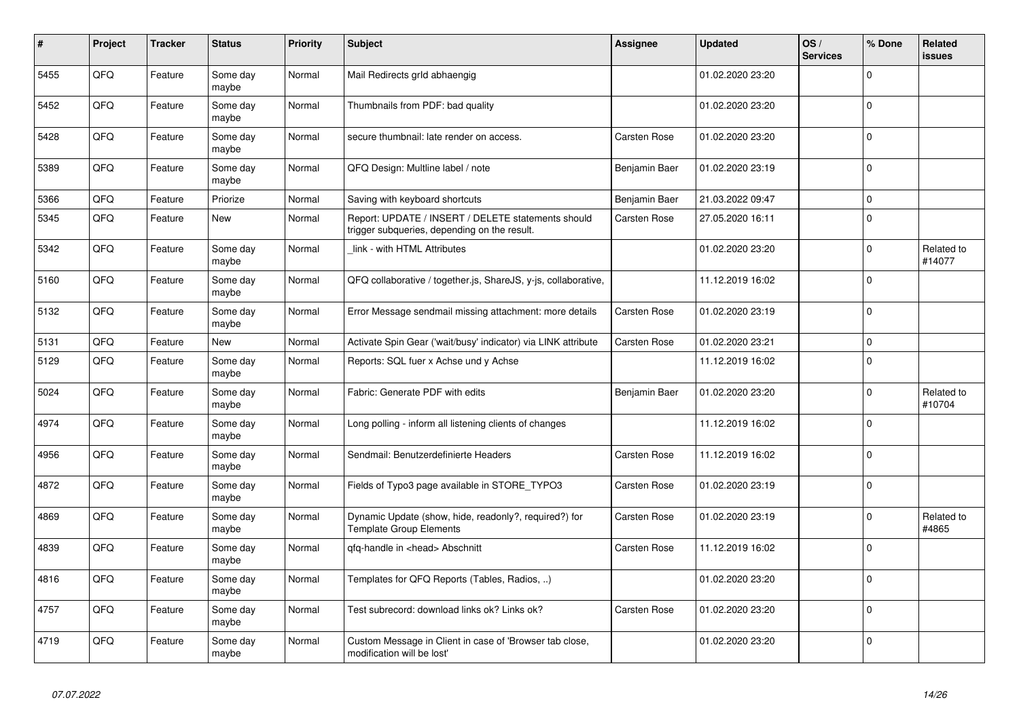| #    | Project | <b>Tracker</b> | <b>Status</b>     | <b>Priority</b> | <b>Subject</b>                                                                                     | Assignee            | <b>Updated</b>   | OS/<br><b>Services</b> | % Done      | Related<br><b>issues</b> |
|------|---------|----------------|-------------------|-----------------|----------------------------------------------------------------------------------------------------|---------------------|------------------|------------------------|-------------|--------------------------|
| 5455 | QFQ     | Feature        | Some day<br>maybe | Normal          | Mail Redirects grld abhaengig                                                                      |                     | 01.02.2020 23:20 |                        | $\Omega$    |                          |
| 5452 | QFQ     | Feature        | Some day<br>maybe | Normal          | Thumbnails from PDF: bad quality                                                                   |                     | 01.02.2020 23:20 |                        | $\mathbf 0$ |                          |
| 5428 | QFQ     | Feature        | Some day<br>maybe | Normal          | secure thumbnail: late render on access.                                                           | Carsten Rose        | 01.02.2020 23:20 |                        | $\mathbf 0$ |                          |
| 5389 | QFQ     | Feature        | Some day<br>maybe | Normal          | QFQ Design: Multline label / note                                                                  | Benjamin Baer       | 01.02.2020 23:19 |                        | $\mathbf 0$ |                          |
| 5366 | QFQ     | Feature        | Priorize          | Normal          | Saving with keyboard shortcuts                                                                     | Benjamin Baer       | 21.03.2022 09:47 |                        | $\pmb{0}$   |                          |
| 5345 | QFQ     | Feature        | New               | Normal          | Report: UPDATE / INSERT / DELETE statements should<br>trigger subqueries, depending on the result. | Carsten Rose        | 27.05.2020 16:11 |                        | $\pmb{0}$   |                          |
| 5342 | QFQ     | Feature        | Some day<br>maybe | Normal          | link - with HTML Attributes                                                                        |                     | 01.02.2020 23:20 |                        | $\mathbf 0$ | Related to<br>#14077     |
| 5160 | QFQ     | Feature        | Some day<br>maybe | Normal          | QFQ collaborative / together.js, ShareJS, y-js, collaborative,                                     |                     | 11.12.2019 16:02 |                        | $\mathbf 0$ |                          |
| 5132 | QFQ     | Feature        | Some day<br>maybe | Normal          | Error Message sendmail missing attachment: more details                                            | Carsten Rose        | 01.02.2020 23:19 |                        | $\mathbf 0$ |                          |
| 5131 | QFQ     | Feature        | New               | Normal          | Activate Spin Gear ('wait/busy' indicator) via LINK attribute                                      | <b>Carsten Rose</b> | 01.02.2020 23:21 |                        | $\mathbf 0$ |                          |
| 5129 | QFQ     | Feature        | Some day<br>maybe | Normal          | Reports: SQL fuer x Achse und y Achse                                                              |                     | 11.12.2019 16:02 |                        | $\mathbf 0$ |                          |
| 5024 | QFQ     | Feature        | Some day<br>maybe | Normal          | Fabric: Generate PDF with edits                                                                    | Benjamin Baer       | 01.02.2020 23:20 |                        | $\mathbf 0$ | Related to<br>#10704     |
| 4974 | QFQ     | Feature        | Some day<br>maybe | Normal          | Long polling - inform all listening clients of changes                                             |                     | 11.12.2019 16:02 |                        | $\mathbf 0$ |                          |
| 4956 | QFQ     | Feature        | Some day<br>maybe | Normal          | Sendmail: Benutzerdefinierte Headers                                                               | Carsten Rose        | 11.12.2019 16:02 |                        | $\mathbf 0$ |                          |
| 4872 | QFQ     | Feature        | Some day<br>maybe | Normal          | Fields of Typo3 page available in STORE TYPO3                                                      | <b>Carsten Rose</b> | 01.02.2020 23:19 |                        | $\mathbf 0$ |                          |
| 4869 | QFQ     | Feature        | Some day<br>maybe | Normal          | Dynamic Update (show, hide, readonly?, required?) for<br><b>Template Group Elements</b>            | Carsten Rose        | 01.02.2020 23:19 |                        | $\mathbf 0$ | Related to<br>#4865      |
| 4839 | QFQ     | Feature        | Some day<br>maybe | Normal          | qfq-handle in <head> Abschnitt</head>                                                              | <b>Carsten Rose</b> | 11.12.2019 16:02 |                        | $\Omega$    |                          |
| 4816 | QFQ     | Feature        | Some day<br>maybe | Normal          | Templates for QFQ Reports (Tables, Radios, )                                                       |                     | 01.02.2020 23:20 |                        | $\mathbf 0$ |                          |
| 4757 | QFQ     | Feature        | Some day<br>maybe | Normal          | Test subrecord: download links ok? Links ok?                                                       | Carsten Rose        | 01.02.2020 23:20 |                        | $\mathbf 0$ |                          |
| 4719 | QFQ     | Feature        | Some day<br>maybe | Normal          | Custom Message in Client in case of 'Browser tab close,<br>modification will be lost'              |                     | 01.02.2020 23:20 |                        | $\mathbf 0$ |                          |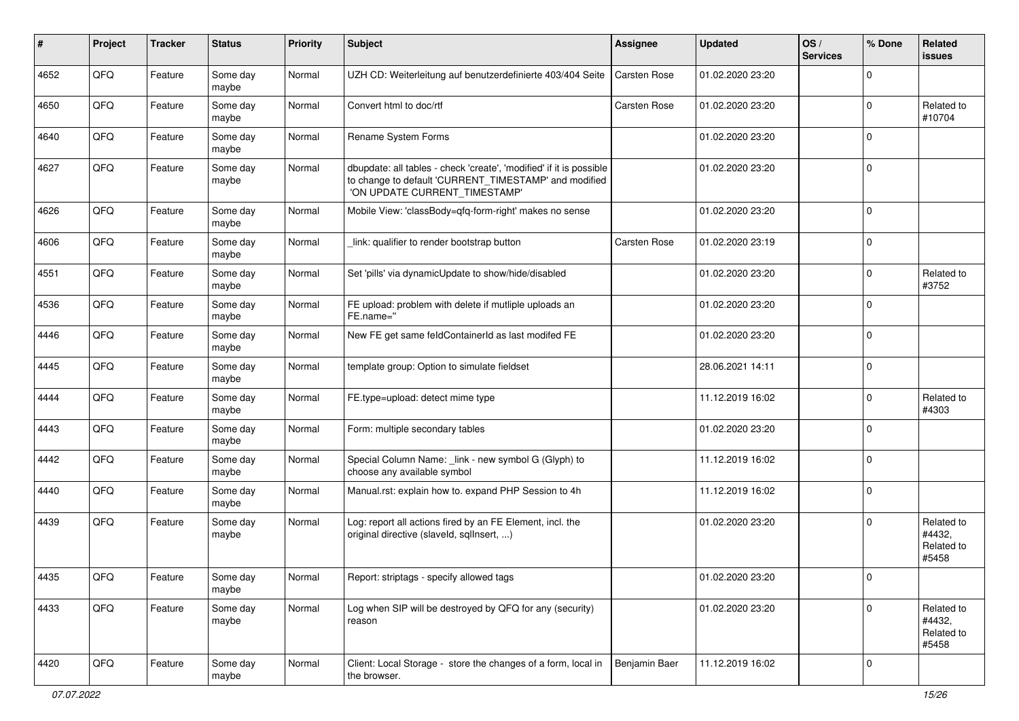| ∦    | Project | <b>Tracker</b> | <b>Status</b>     | <b>Priority</b> | <b>Subject</b>                                                                                                                                                | <b>Assignee</b> | <b>Updated</b>   | OS/<br><b>Services</b> | % Done      | Related<br>issues                           |
|------|---------|----------------|-------------------|-----------------|---------------------------------------------------------------------------------------------------------------------------------------------------------------|-----------------|------------------|------------------------|-------------|---------------------------------------------|
| 4652 | QFQ     | Feature        | Some day<br>maybe | Normal          | UZH CD: Weiterleitung auf benutzerdefinierte 403/404 Seite                                                                                                    | Carsten Rose    | 01.02.2020 23:20 |                        | $\Omega$    |                                             |
| 4650 | QFQ     | Feature        | Some day<br>maybe | Normal          | Convert html to doc/rtf                                                                                                                                       | Carsten Rose    | 01.02.2020 23:20 |                        | $\Omega$    | Related to<br>#10704                        |
| 4640 | QFQ     | Feature        | Some day<br>maybe | Normal          | Rename System Forms                                                                                                                                           |                 | 01.02.2020 23:20 |                        | $\Omega$    |                                             |
| 4627 | QFQ     | Feature        | Some day<br>maybe | Normal          | dbupdate: all tables - check 'create', 'modified' if it is possible<br>to change to default 'CURRENT_TIMESTAMP' and modified<br>'ON UPDATE CURRENT TIMESTAMP' |                 | 01.02.2020 23:20 |                        | $\Omega$    |                                             |
| 4626 | QFQ     | Feature        | Some day<br>maybe | Normal          | Mobile View: 'classBody=qfq-form-right' makes no sense                                                                                                        |                 | 01.02.2020 23:20 |                        | $\Omega$    |                                             |
| 4606 | QFQ     | Feature        | Some day<br>maybe | Normal          | link: qualifier to render bootstrap button                                                                                                                    | Carsten Rose    | 01.02.2020 23:19 |                        | $\Omega$    |                                             |
| 4551 | QFQ     | Feature        | Some day<br>maybe | Normal          | Set 'pills' via dynamicUpdate to show/hide/disabled                                                                                                           |                 | 01.02.2020 23:20 |                        | $\Omega$    | Related to<br>#3752                         |
| 4536 | QFQ     | Feature        | Some day<br>maybe | Normal          | FE upload: problem with delete if mutliple uploads an<br>FE.name="                                                                                            |                 | 01.02.2020 23:20 |                        | $\Omega$    |                                             |
| 4446 | QFQ     | Feature        | Some day<br>maybe | Normal          | New FE get same feldContainerId as last modifed FE                                                                                                            |                 | 01.02.2020 23:20 |                        | $\Omega$    |                                             |
| 4445 | QFQ     | Feature        | Some day<br>maybe | Normal          | template group: Option to simulate fieldset                                                                                                                   |                 | 28.06.2021 14:11 |                        | $\Omega$    |                                             |
| 4444 | QFQ     | Feature        | Some day<br>maybe | Normal          | FE.type=upload: detect mime type                                                                                                                              |                 | 11.12.2019 16:02 |                        | $\mathbf 0$ | Related to<br>#4303                         |
| 4443 | QFQ     | Feature        | Some day<br>maybe | Normal          | Form: multiple secondary tables                                                                                                                               |                 | 01.02.2020 23:20 |                        | $\Omega$    |                                             |
| 4442 | QFQ     | Feature        | Some day<br>maybe | Normal          | Special Column Name: _link - new symbol G (Glyph) to<br>choose any available symbol                                                                           |                 | 11.12.2019 16:02 |                        | $\Omega$    |                                             |
| 4440 | QFQ     | Feature        | Some day<br>maybe | Normal          | Manual.rst: explain how to. expand PHP Session to 4h                                                                                                          |                 | 11.12.2019 16:02 |                        | $\Omega$    |                                             |
| 4439 | QFQ     | Feature        | Some day<br>maybe | Normal          | Log: report all actions fired by an FE Element, incl. the<br>original directive (slaveld, sqllnsert, )                                                        |                 | 01.02.2020 23:20 |                        | $\Omega$    | Related to<br>#4432,<br>Related to<br>#5458 |
| 4435 | QFQ     | Feature        | Some day<br>maybe | Normal          | Report: striptags - specify allowed tags                                                                                                                      |                 | 01.02.2020 23:20 |                        | 0           |                                             |
| 4433 | QFQ     | Feature        | Some day<br>maybe | Normal          | Log when SIP will be destroyed by QFQ for any (security)<br>reason                                                                                            |                 | 01.02.2020 23:20 |                        | 0           | Related to<br>#4432,<br>Related to<br>#5458 |
| 4420 | QFG     | Feature        | Some day<br>maybe | Normal          | Client: Local Storage - store the changes of a form, local in<br>the browser.                                                                                 | Benjamin Baer   | 11.12.2019 16:02 |                        | 0           |                                             |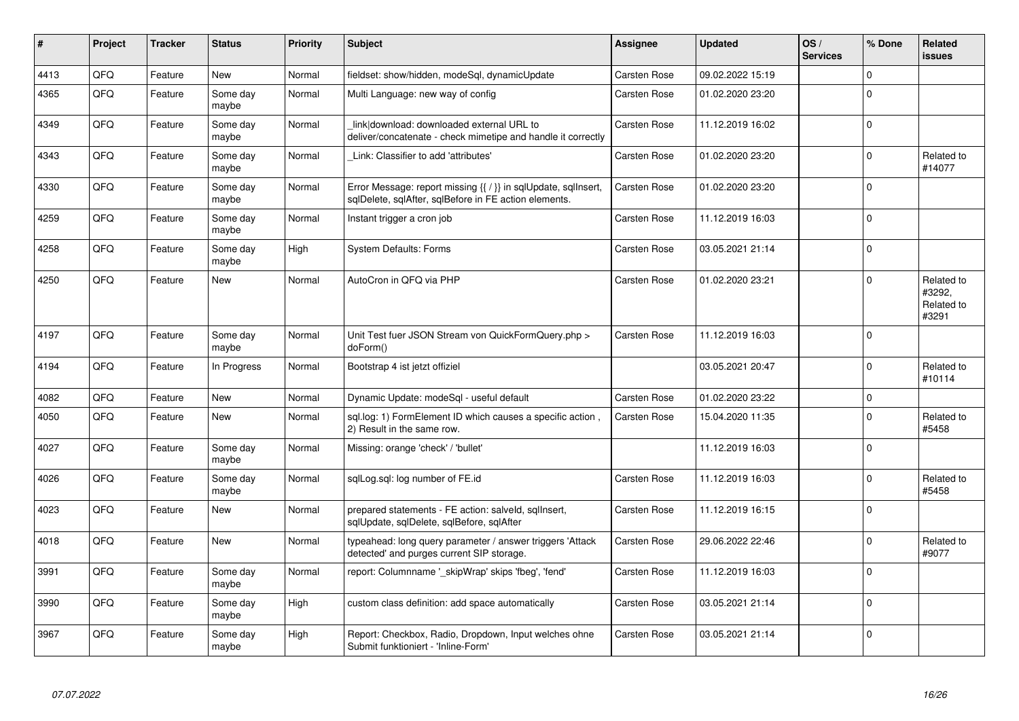| #    | Project | <b>Tracker</b> | <b>Status</b>     | <b>Priority</b> | <b>Subject</b>                                                                                                                | Assignee            | <b>Updated</b>   | OS/<br><b>Services</b> | % Done    | Related<br><b>issues</b>                    |
|------|---------|----------------|-------------------|-----------------|-------------------------------------------------------------------------------------------------------------------------------|---------------------|------------------|------------------------|-----------|---------------------------------------------|
| 4413 | QFQ     | Feature        | <b>New</b>        | Normal          | fieldset: show/hidden, modeSql, dynamicUpdate                                                                                 | <b>Carsten Rose</b> | 09.02.2022 15:19 |                        | $\Omega$  |                                             |
| 4365 | QFQ     | Feature        | Some day<br>maybe | Normal          | Multi Language: new way of config                                                                                             | Carsten Rose        | 01.02.2020 23:20 |                        | $\Omega$  |                                             |
| 4349 | QFQ     | Feature        | Some day<br>maybe | Normal          | link download: downloaded external URL to<br>deliver/concatenate - check mimetipe and handle it correctly                     | Carsten Rose        | 11.12.2019 16:02 |                        | $\Omega$  |                                             |
| 4343 | QFQ     | Feature        | Some day<br>maybe | Normal          | Link: Classifier to add 'attributes'                                                                                          | <b>Carsten Rose</b> | 01.02.2020 23:20 |                        | 0         | Related to<br>#14077                        |
| 4330 | QFQ     | Feature        | Some day<br>maybe | Normal          | Error Message: report missing $\{ \nmid \}$ in sqlUpdate, sqlInsert,<br>sqlDelete, sqlAfter, sqlBefore in FE action elements. | Carsten Rose        | 01.02.2020 23:20 |                        | $\Omega$  |                                             |
| 4259 | QFQ     | Feature        | Some day<br>maybe | Normal          | Instant trigger a cron job                                                                                                    | Carsten Rose        | 11.12.2019 16:03 |                        | $\Omega$  |                                             |
| 4258 | QFQ     | Feature        | Some day<br>maybe | High            | <b>System Defaults: Forms</b>                                                                                                 | Carsten Rose        | 03.05.2021 21:14 |                        | $\Omega$  |                                             |
| 4250 | QFQ     | Feature        | New               | Normal          | AutoCron in QFQ via PHP                                                                                                       | <b>Carsten Rose</b> | 01.02.2020 23:21 |                        | $\Omega$  | Related to<br>#3292.<br>Related to<br>#3291 |
| 4197 | QFQ     | Feature        | Some day<br>maybe | Normal          | Unit Test fuer JSON Stream von QuickFormQuery.php ><br>doForm()                                                               | <b>Carsten Rose</b> | 11.12.2019 16:03 |                        | $\Omega$  |                                             |
| 4194 | QFQ     | Feature        | In Progress       | Normal          | Bootstrap 4 ist jetzt offiziel                                                                                                |                     | 03.05.2021 20:47 |                        | $\Omega$  | Related to<br>#10114                        |
| 4082 | QFQ     | Feature        | New               | Normal          | Dynamic Update: modeSql - useful default                                                                                      | <b>Carsten Rose</b> | 01.02.2020 23:22 |                        | $\Omega$  |                                             |
| 4050 | QFQ     | Feature        | New               | Normal          | sql.log: 1) FormElement ID which causes a specific action,<br>2) Result in the same row.                                      | <b>Carsten Rose</b> | 15.04.2020 11:35 |                        | 0         | Related to<br>#5458                         |
| 4027 | QFQ     | Feature        | Some day<br>maybe | Normal          | Missing: orange 'check' / 'bullet'                                                                                            |                     | 11.12.2019 16:03 |                        | $\Omega$  |                                             |
| 4026 | QFQ     | Feature        | Some day<br>maybe | Normal          | sqlLog.sql: log number of FE.id                                                                                               | Carsten Rose        | 11.12.2019 16:03 |                        | $\pmb{0}$ | Related to<br>#5458                         |
| 4023 | QFQ     | Feature        | <b>New</b>        | Normal          | prepared statements - FE action: salveld, sqllnsert,<br>sqlUpdate, sqlDelete, sqlBefore, sqlAfter                             | Carsten Rose        | 11.12.2019 16:15 |                        | $\Omega$  |                                             |
| 4018 | QFQ     | Feature        | New               | Normal          | typeahead: long query parameter / answer triggers 'Attack<br>detected' and purges current SIP storage.                        | <b>Carsten Rose</b> | 29.06.2022 22:46 |                        | $\Omega$  | Related to<br>#9077                         |
| 3991 | QFQ     | Feature        | Some day<br>maybe | Normal          | report: Columnname '_skipWrap' skips 'fbeg', 'fend'                                                                           | Carsten Rose        | 11.12.2019 16:03 |                        | $\Omega$  |                                             |
| 3990 | QFQ     | Feature        | Some day<br>maybe | High            | custom class definition: add space automatically                                                                              | Carsten Rose        | 03.05.2021 21:14 |                        | $\Omega$  |                                             |
| 3967 | QFQ     | Feature        | Some day<br>maybe | High            | Report: Checkbox, Radio, Dropdown, Input welches ohne<br>Submit funktioniert - 'Inline-Form'                                  | Carsten Rose        | 03.05.2021 21:14 |                        | $\Omega$  |                                             |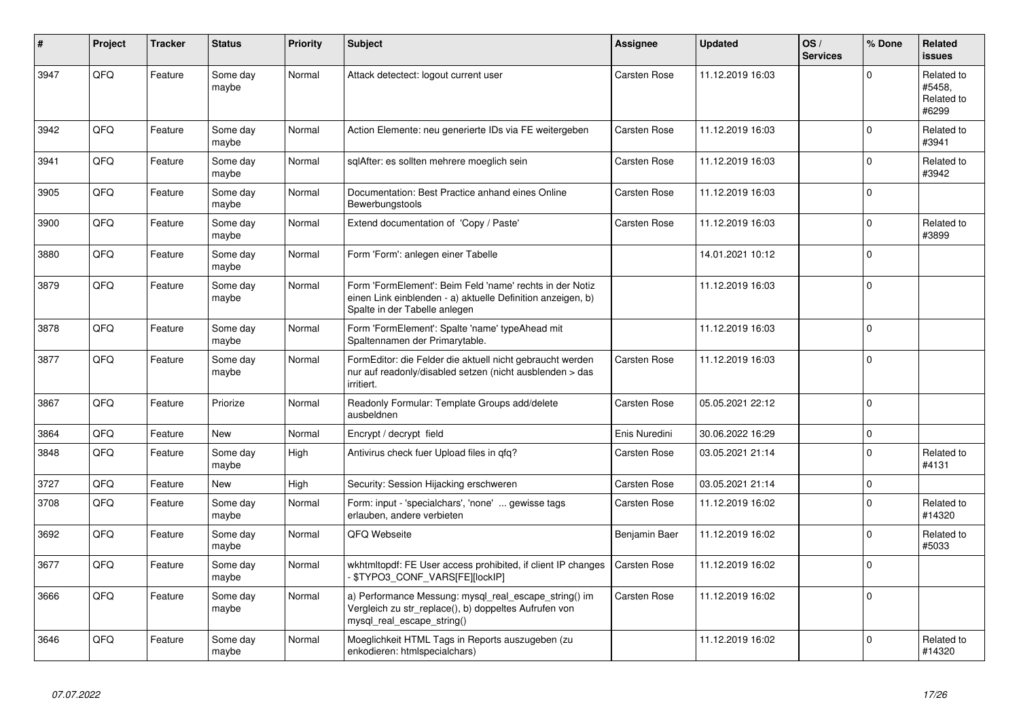| #    | Project | <b>Tracker</b> | <b>Status</b>     | <b>Priority</b> | <b>Subject</b>                                                                                                                                           | <b>Assignee</b>     | <b>Updated</b>   | OS/<br><b>Services</b> | % Done      | Related<br>issues                           |
|------|---------|----------------|-------------------|-----------------|----------------------------------------------------------------------------------------------------------------------------------------------------------|---------------------|------------------|------------------------|-------------|---------------------------------------------|
| 3947 | QFQ     | Feature        | Some day<br>maybe | Normal          | Attack detectect: logout current user                                                                                                                    | Carsten Rose        | 11.12.2019 16:03 |                        | $\Omega$    | Related to<br>#5458.<br>Related to<br>#6299 |
| 3942 | QFQ     | Feature        | Some day<br>maybe | Normal          | Action Elemente: neu generierte IDs via FE weitergeben                                                                                                   | <b>Carsten Rose</b> | 11.12.2019 16:03 |                        | $\Omega$    | Related to<br>#3941                         |
| 3941 | QFQ     | Feature        | Some day<br>maybe | Normal          | sqlAfter: es sollten mehrere moeglich sein                                                                                                               | Carsten Rose        | 11.12.2019 16:03 |                        | $\Omega$    | Related to<br>#3942                         |
| 3905 | QFQ     | Feature        | Some day<br>maybe | Normal          | Documentation: Best Practice anhand eines Online<br>Bewerbungstools                                                                                      | <b>Carsten Rose</b> | 11.12.2019 16:03 |                        | $\Omega$    |                                             |
| 3900 | QFQ     | Feature        | Some day<br>maybe | Normal          | Extend documentation of 'Copy / Paste'                                                                                                                   | Carsten Rose        | 11.12.2019 16:03 |                        | $\pmb{0}$   | Related to<br>#3899                         |
| 3880 | QFQ     | Feature        | Some day<br>maybe | Normal          | Form 'Form': anlegen einer Tabelle                                                                                                                       |                     | 14.01.2021 10:12 |                        | $\Omega$    |                                             |
| 3879 | QFQ     | Feature        | Some day<br>maybe | Normal          | Form 'FormElement': Beim Feld 'name' rechts in der Notiz<br>einen Link einblenden - a) aktuelle Definition anzeigen, b)<br>Spalte in der Tabelle anlegen |                     | 11.12.2019 16:03 |                        | $\Omega$    |                                             |
| 3878 | QFQ     | Feature        | Some day<br>maybe | Normal          | Form 'FormElement': Spalte 'name' typeAhead mit<br>Spaltennamen der Primarytable.                                                                        |                     | 11.12.2019 16:03 |                        | $\Omega$    |                                             |
| 3877 | QFQ     | Feature        | Some day<br>maybe | Normal          | FormEditor: die Felder die aktuell nicht gebraucht werden<br>nur auf readonly/disabled setzen (nicht ausblenden > das<br>irritiert.                      | Carsten Rose        | 11.12.2019 16:03 |                        | $\Omega$    |                                             |
| 3867 | QFQ     | Feature        | Priorize          | Normal          | Readonly Formular: Template Groups add/delete<br>ausbeldnen                                                                                              | Carsten Rose        | 05.05.2021 22:12 |                        | $\Omega$    |                                             |
| 3864 | QFQ     | Feature        | New               | Normal          | Encrypt / decrypt field                                                                                                                                  | Enis Nuredini       | 30.06.2022 16:29 |                        | $\mathbf 0$ |                                             |
| 3848 | QFQ     | Feature        | Some day<br>maybe | High            | Antivirus check fuer Upload files in qfq?                                                                                                                | <b>Carsten Rose</b> | 03.05.2021 21:14 |                        | $\Omega$    | Related to<br>#4131                         |
| 3727 | QFQ     | Feature        | <b>New</b>        | High            | Security: Session Hijacking erschweren                                                                                                                   | <b>Carsten Rose</b> | 03.05.2021 21:14 |                        | $\Omega$    |                                             |
| 3708 | QFQ     | Feature        | Some day<br>maybe | Normal          | Form: input - 'specialchars', 'none'  gewisse tags<br>erlauben, andere verbieten                                                                         | <b>Carsten Rose</b> | 11.12.2019 16:02 |                        | $\Omega$    | Related to<br>#14320                        |
| 3692 | QFQ     | Feature        | Some day<br>maybe | Normal          | QFQ Webseite                                                                                                                                             | Benjamin Baer       | 11.12.2019 16:02 |                        | $\Omega$    | Related to<br>#5033                         |
| 3677 | QFQ     | Feature        | Some day<br>maybe | Normal          | wkhtmltopdf: FE User access prohibited, if client IP changes<br>\$TYPO3_CONF_VARS[FE][lockIP]                                                            | Carsten Rose        | 11.12.2019 16:02 |                        | 0           |                                             |
| 3666 | QFQ     | Feature        | Some day<br>maybe | Normal          | a) Performance Messung: mysql_real_escape_string() im<br>Vergleich zu str_replace(), b) doppeltes Aufrufen von<br>mysql_real_escape_string()             | Carsten Rose        | 11.12.2019 16:02 |                        | $\Omega$    |                                             |
| 3646 | QFQ     | Feature        | Some day<br>maybe | Normal          | Moeglichkeit HTML Tags in Reports auszugeben (zu<br>enkodieren: htmlspecialchars)                                                                        |                     | 11.12.2019 16:02 |                        | $\Omega$    | Related to<br>#14320                        |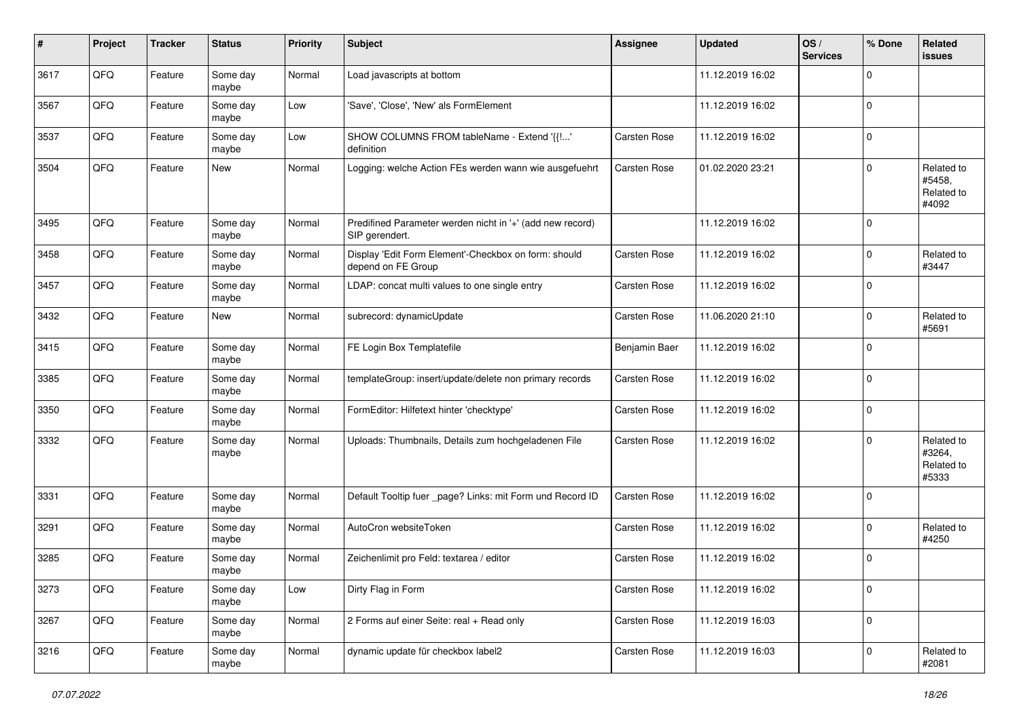| #    | Project | <b>Tracker</b> | <b>Status</b>     | <b>Priority</b> | Subject                                                                     | Assignee            | <b>Updated</b>   | OS/<br><b>Services</b> | % Done      | Related<br>issues                           |
|------|---------|----------------|-------------------|-----------------|-----------------------------------------------------------------------------|---------------------|------------------|------------------------|-------------|---------------------------------------------|
| 3617 | QFQ     | Feature        | Some day<br>maybe | Normal          | Load javascripts at bottom                                                  |                     | 11.12.2019 16:02 |                        | $\Omega$    |                                             |
| 3567 | QFQ     | Feature        | Some day<br>maybe | Low             | 'Save', 'Close', 'New' als FormElement                                      |                     | 11.12.2019 16:02 |                        | $\mathbf 0$ |                                             |
| 3537 | QFQ     | Feature        | Some day<br>maybe | Low             | SHOW COLUMNS FROM tableName - Extend '{{!'<br>definition                    | Carsten Rose        | 11.12.2019 16:02 |                        | $\mathbf 0$ |                                             |
| 3504 | QFQ     | Feature        | New               | Normal          | Logging: welche Action FEs werden wann wie ausgefuehrt                      | Carsten Rose        | 01.02.2020 23:21 |                        | $\mathbf 0$ | Related to<br>#5458,<br>Related to<br>#4092 |
| 3495 | QFQ     | Feature        | Some day<br>maybe | Normal          | Predifined Parameter werden nicht in '+' (add new record)<br>SIP gerendert. |                     | 11.12.2019 16:02 |                        | $\Omega$    |                                             |
| 3458 | QFQ     | Feature        | Some day<br>maybe | Normal          | Display 'Edit Form Element'-Checkbox on form: should<br>depend on FE Group  | Carsten Rose        | 11.12.2019 16:02 |                        | 0           | Related to<br>#3447                         |
| 3457 | QFQ     | Feature        | Some day<br>maybe | Normal          | LDAP: concat multi values to one single entry                               | Carsten Rose        | 11.12.2019 16:02 |                        | $\Omega$    |                                             |
| 3432 | QFQ     | Feature        | New               | Normal          | subrecord: dynamicUpdate                                                    | Carsten Rose        | 11.06.2020 21:10 |                        | $\mathbf 0$ | Related to<br>#5691                         |
| 3415 | QFQ     | Feature        | Some day<br>maybe | Normal          | FE Login Box Templatefile                                                   | Benjamin Baer       | 11.12.2019 16:02 |                        | $\Omega$    |                                             |
| 3385 | QFQ     | Feature        | Some day<br>maybe | Normal          | templateGroup: insert/update/delete non primary records                     | <b>Carsten Rose</b> | 11.12.2019 16:02 |                        | $\mathbf 0$ |                                             |
| 3350 | QFQ     | Feature        | Some day<br>maybe | Normal          | FormEditor: Hilfetext hinter 'checktype'                                    | Carsten Rose        | 11.12.2019 16:02 |                        | $\mathbf 0$ |                                             |
| 3332 | QFQ     | Feature        | Some day<br>maybe | Normal          | Uploads: Thumbnails, Details zum hochgeladenen File                         | Carsten Rose        | 11.12.2019 16:02 |                        | $\Omega$    | Related to<br>#3264,<br>Related to<br>#5333 |
| 3331 | QFQ     | Feature        | Some day<br>maybe | Normal          | Default Tooltip fuer _page? Links: mit Form und Record ID                   | Carsten Rose        | 11.12.2019 16:02 |                        | $\mathbf 0$ |                                             |
| 3291 | QFQ     | Feature        | Some day<br>maybe | Normal          | AutoCron websiteToken                                                       | Carsten Rose        | 11.12.2019 16:02 |                        | $\mathbf 0$ | Related to<br>#4250                         |
| 3285 | QFQ     | Feature        | Some day<br>maybe | Normal          | Zeichenlimit pro Feld: textarea / editor                                    | Carsten Rose        | 11.12.2019 16:02 |                        | $\mathbf 0$ |                                             |
| 3273 | QFG     | Feature        | Some day<br>maybe | Low             | Dirty Flag in Form                                                          | Carsten Rose        | 11.12.2019 16:02 |                        | 0           |                                             |
| 3267 | QFG     | Feature        | Some day<br>maybe | Normal          | 2 Forms auf einer Seite: real + Read only                                   | Carsten Rose        | 11.12.2019 16:03 |                        | 0           |                                             |
| 3216 | QFQ     | Feature        | Some day<br>maybe | Normal          | dynamic update für checkbox label2                                          | Carsten Rose        | 11.12.2019 16:03 |                        | 0           | Related to<br>#2081                         |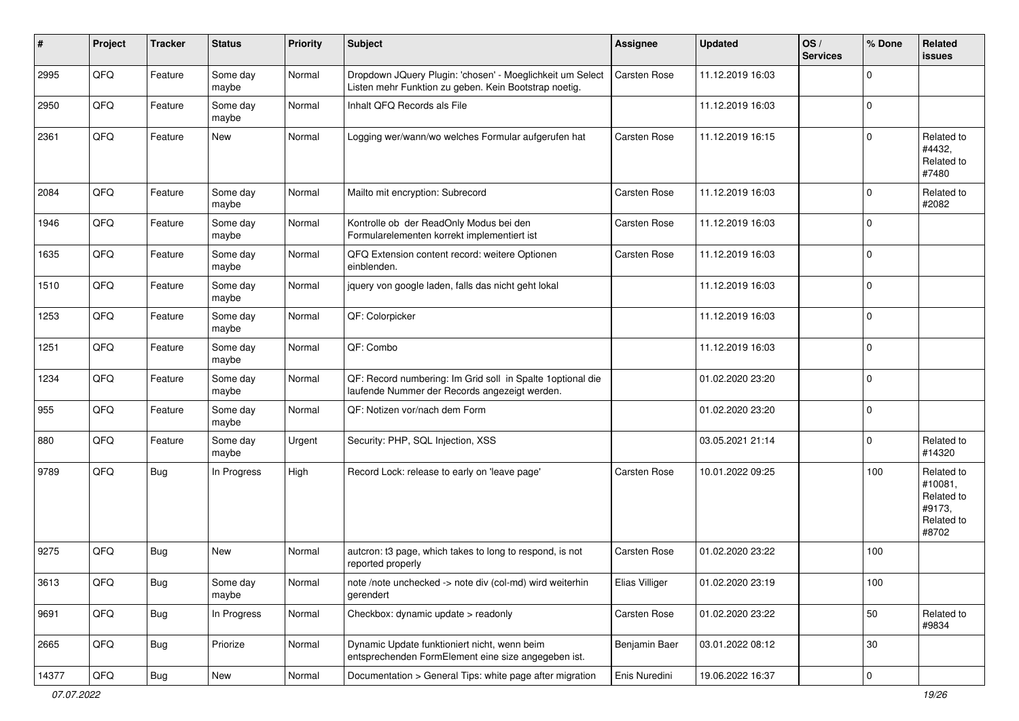| $\sharp$ | Project | <b>Tracker</b> | <b>Status</b>     | <b>Priority</b> | <b>Subject</b>                                                                                                     | Assignee              | <b>Updated</b>   | OS/<br><b>Services</b> | % Done              | Related<br>issues                                                    |
|----------|---------|----------------|-------------------|-----------------|--------------------------------------------------------------------------------------------------------------------|-----------------------|------------------|------------------------|---------------------|----------------------------------------------------------------------|
| 2995     | QFQ     | Feature        | Some day<br>maybe | Normal          | Dropdown JQuery Plugin: 'chosen' - Moeglichkeit um Select<br>Listen mehr Funktion zu geben. Kein Bootstrap noetig. | Carsten Rose          | 11.12.2019 16:03 |                        | $\mathbf 0$         |                                                                      |
| 2950     | QFQ     | Feature        | Some day<br>maybe | Normal          | Inhalt QFQ Records als File                                                                                        |                       | 11.12.2019 16:03 |                        | $\mathbf 0$         |                                                                      |
| 2361     | QFQ     | Feature        | New               | Normal          | Logging wer/wann/wo welches Formular aufgerufen hat                                                                | <b>Carsten Rose</b>   | 11.12.2019 16:15 |                        | $\mathbf 0$         | Related to<br>#4432,<br>Related to<br>#7480                          |
| 2084     | QFQ     | Feature        | Some day<br>maybe | Normal          | Mailto mit encryption: Subrecord                                                                                   | <b>Carsten Rose</b>   | 11.12.2019 16:03 |                        | $\mathbf 0$         | Related to<br>#2082                                                  |
| 1946     | QFQ     | Feature        | Some day<br>maybe | Normal          | Kontrolle ob der ReadOnly Modus bei den<br>Formularelementen korrekt implementiert ist                             | Carsten Rose          | 11.12.2019 16:03 |                        | $\mathbf 0$         |                                                                      |
| 1635     | QFQ     | Feature        | Some day<br>maybe | Normal          | QFQ Extension content record: weitere Optionen<br>einblenden.                                                      | Carsten Rose          | 11.12.2019 16:03 |                        | $\mathbf 0$         |                                                                      |
| 1510     | QFQ     | Feature        | Some day<br>maybe | Normal          | jquery von google laden, falls das nicht geht lokal                                                                |                       | 11.12.2019 16:03 |                        | $\mathbf 0$         |                                                                      |
| 1253     | QFQ     | Feature        | Some day<br>maybe | Normal          | QF: Colorpicker                                                                                                    |                       | 11.12.2019 16:03 |                        | $\mathbf 0$         |                                                                      |
| 1251     | QFQ     | Feature        | Some day<br>maybe | Normal          | QF: Combo                                                                                                          |                       | 11.12.2019 16:03 |                        | $\mathbf 0$         |                                                                      |
| 1234     | QFQ     | Feature        | Some day<br>maybe | Normal          | QF: Record numbering: Im Grid soll in Spalte 1 optional die<br>laufende Nummer der Records angezeigt werden.       |                       | 01.02.2020 23:20 |                        | $\mathbf 0$         |                                                                      |
| 955      | QFQ     | Feature        | Some day<br>maybe | Normal          | QF: Notizen vor/nach dem Form                                                                                      |                       | 01.02.2020 23:20 |                        | $\pmb{0}$           |                                                                      |
| 880      | QFQ     | Feature        | Some day<br>maybe | Urgent          | Security: PHP, SQL Injection, XSS                                                                                  |                       | 03.05.2021 21:14 |                        | $\mathbf 0$         | Related to<br>#14320                                                 |
| 9789     | QFQ     | Bug            | In Progress       | High            | Record Lock: release to early on 'leave page'                                                                      | <b>Carsten Rose</b>   | 10.01.2022 09:25 |                        | 100                 | Related to<br>#10081,<br>Related to<br>#9173,<br>Related to<br>#8702 |
| 9275     | QFQ     | <b>Bug</b>     | New               | Normal          | autcron: t3 page, which takes to long to respond, is not<br>reported properly                                      | Carsten Rose          | 01.02.2020 23:22 |                        | 100                 |                                                                      |
| 3613     | QFQ     | <b>Bug</b>     | Some day<br>maybe | Normal          | note /note unchecked -> note div (col-md) wird weiterhin<br>gerendert                                              | <b>Elias Villiger</b> | 01.02.2020 23:19 |                        | 100                 |                                                                      |
| 9691     | QFQ     | <b>Bug</b>     | In Progress       | Normal          | Checkbox: dynamic update > readonly                                                                                | Carsten Rose          | 01.02.2020 23:22 |                        | 50                  | Related to<br>#9834                                                  |
| 2665     | QFQ     | <b>Bug</b>     | Priorize          | Normal          | Dynamic Update funktioniert nicht, wenn beim<br>entsprechenden FormElement eine size angegeben ist.                | Benjamin Baer         | 03.01.2022 08:12 |                        | 30                  |                                                                      |
| 14377    | QFG     | <b>Bug</b>     | New               | Normal          | Documentation > General Tips: white page after migration                                                           | Enis Nuredini         | 19.06.2022 16:37 |                        | $\mathsf{O}\xspace$ |                                                                      |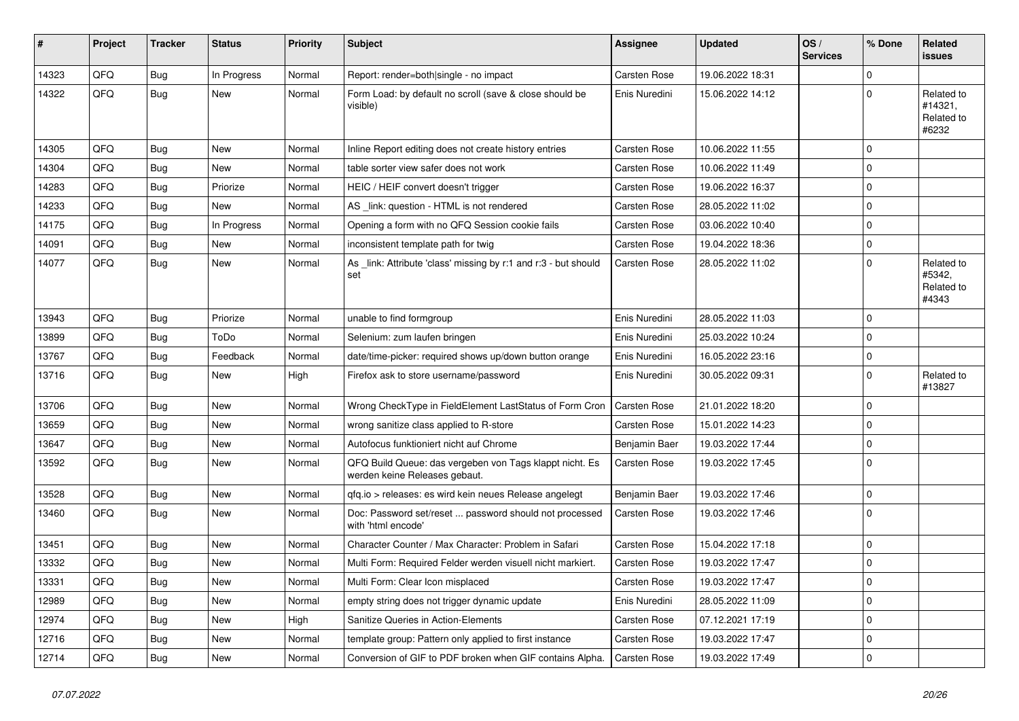| #     | Project | <b>Tracker</b> | <b>Status</b> | <b>Priority</b> | <b>Subject</b>                                                                           | Assignee            | <b>Updated</b>   | OS/<br><b>Services</b> | % Done      | Related<br><b>issues</b>                     |
|-------|---------|----------------|---------------|-----------------|------------------------------------------------------------------------------------------|---------------------|------------------|------------------------|-------------|----------------------------------------------|
| 14323 | QFQ     | <b>Bug</b>     | In Progress   | Normal          | Report: render=both single - no impact                                                   | Carsten Rose        | 19.06.2022 18:31 |                        | $\mathbf 0$ |                                              |
| 14322 | QFQ     | <b>Bug</b>     | New           | Normal          | Form Load: by default no scroll (save & close should be<br>visible)                      | Enis Nuredini       | 15.06.2022 14:12 |                        | $\pmb{0}$   | Related to<br>#14321,<br>Related to<br>#6232 |
| 14305 | QFQ     | Bug            | <b>New</b>    | Normal          | Inline Report editing does not create history entries                                    | Carsten Rose        | 10.06.2022 11:55 |                        | $\mathbf 0$ |                                              |
| 14304 | QFQ     | <b>Bug</b>     | <b>New</b>    | Normal          | table sorter view safer does not work                                                    | <b>Carsten Rose</b> | 10.06.2022 11:49 |                        | $\mathbf 0$ |                                              |
| 14283 | QFQ     | Bug            | Priorize      | Normal          | HEIC / HEIF convert doesn't trigger                                                      | Carsten Rose        | 19.06.2022 16:37 |                        | $\mathbf 0$ |                                              |
| 14233 | QFQ     | <b>Bug</b>     | New           | Normal          | AS _link: question - HTML is not rendered                                                | Carsten Rose        | 28.05.2022 11:02 |                        | $\mathbf 0$ |                                              |
| 14175 | QFQ     | Bug            | In Progress   | Normal          | Opening a form with no QFQ Session cookie fails                                          | Carsten Rose        | 03.06.2022 10:40 |                        | $\pmb{0}$   |                                              |
| 14091 | QFQ     | <b>Bug</b>     | <b>New</b>    | Normal          | inconsistent template path for twig                                                      | <b>Carsten Rose</b> | 19.04.2022 18:36 |                        | $\mathbf 0$ |                                              |
| 14077 | QFQ     | <b>Bug</b>     | <b>New</b>    | Normal          | As _link: Attribute 'class' missing by r:1 and r:3 - but should<br>set                   | Carsten Rose        | 28.05.2022 11:02 |                        | $\mathbf 0$ | Related to<br>#5342,<br>Related to<br>#4343  |
| 13943 | QFQ     | Bug            | Priorize      | Normal          | unable to find formgroup                                                                 | Enis Nuredini       | 28.05.2022 11:03 |                        | $\mathbf 0$ |                                              |
| 13899 | QFQ     | Bug            | ToDo          | Normal          | Selenium: zum laufen bringen                                                             | Enis Nuredini       | 25.03.2022 10:24 |                        | $\mathbf 0$ |                                              |
| 13767 | QFQ     | <b>Bug</b>     | Feedback      | Normal          | date/time-picker: required shows up/down button orange                                   | Enis Nuredini       | 16.05.2022 23:16 |                        | $\mathbf 0$ |                                              |
| 13716 | QFQ     | <b>Bug</b>     | <b>New</b>    | High            | Firefox ask to store username/password                                                   | Enis Nuredini       | 30.05.2022 09:31 |                        | $\mathbf 0$ | Related to<br>#13827                         |
| 13706 | QFQ     | Bug            | New           | Normal          | Wrong CheckType in FieldElement LastStatus of Form Cron                                  | <b>Carsten Rose</b> | 21.01.2022 18:20 |                        | $\mathbf 0$ |                                              |
| 13659 | QFQ     | Bug            | New           | Normal          | wrong sanitize class applied to R-store                                                  | Carsten Rose        | 15.01.2022 14:23 |                        | $\mathbf 0$ |                                              |
| 13647 | QFQ     | <b>Bug</b>     | New           | Normal          | Autofocus funktioniert nicht auf Chrome                                                  | Benjamin Baer       | 19.03.2022 17:44 |                        | $\pmb{0}$   |                                              |
| 13592 | QFQ     | <b>Bug</b>     | New           | Normal          | QFQ Build Queue: das vergeben von Tags klappt nicht. Es<br>werden keine Releases gebaut. | <b>Carsten Rose</b> | 19.03.2022 17:45 |                        | $\mathbf 0$ |                                              |
| 13528 | QFQ     | <b>Bug</b>     | <b>New</b>    | Normal          | qfq.io > releases: es wird kein neues Release angelegt                                   | Benjamin Baer       | 19.03.2022 17:46 |                        | $\pmb{0}$   |                                              |
| 13460 | QFQ     | <b>Bug</b>     | <b>New</b>    | Normal          | Doc: Password set/reset  password should not processed<br>with 'html encode'             | Carsten Rose        | 19.03.2022 17:46 |                        | $\Omega$    |                                              |
| 13451 | QFQ     | <b>Bug</b>     | <b>New</b>    | Normal          | Character Counter / Max Character: Problem in Safari                                     | Carsten Rose        | 15.04.2022 17:18 |                        | $\mathbf 0$ |                                              |
| 13332 | QFQ     | <b>Bug</b>     | <b>New</b>    | Normal          | Multi Form: Required Felder werden visuell nicht markiert.                               | <b>Carsten Rose</b> | 19.03.2022 17:47 |                        | $\mathbf 0$ |                                              |
| 13331 | QFQ     | Bug            | <b>New</b>    | Normal          | Multi Form: Clear Icon misplaced                                                         | <b>Carsten Rose</b> | 19.03.2022 17:47 |                        | $\mathbf 0$ |                                              |
| 12989 | QFQ     | Bug            | New           | Normal          | empty string does not trigger dynamic update                                             | Enis Nuredini       | 28.05.2022 11:09 |                        | $\mathbf 0$ |                                              |
| 12974 | QFQ     | Bug            | New           | High            | <b>Sanitize Queries in Action-Elements</b>                                               | <b>Carsten Rose</b> | 07.12.2021 17:19 |                        | $\mathbf 0$ |                                              |
| 12716 | QFQ     | <b>Bug</b>     | <b>New</b>    | Normal          | template group: Pattern only applied to first instance                                   | <b>Carsten Rose</b> | 19.03.2022 17:47 |                        | $\pmb{0}$   |                                              |
| 12714 | QFQ     | Bug            | New           | Normal          | Conversion of GIF to PDF broken when GIF contains Alpha.                                 | <b>Carsten Rose</b> | 19.03.2022 17:49 |                        | $\mathbf 0$ |                                              |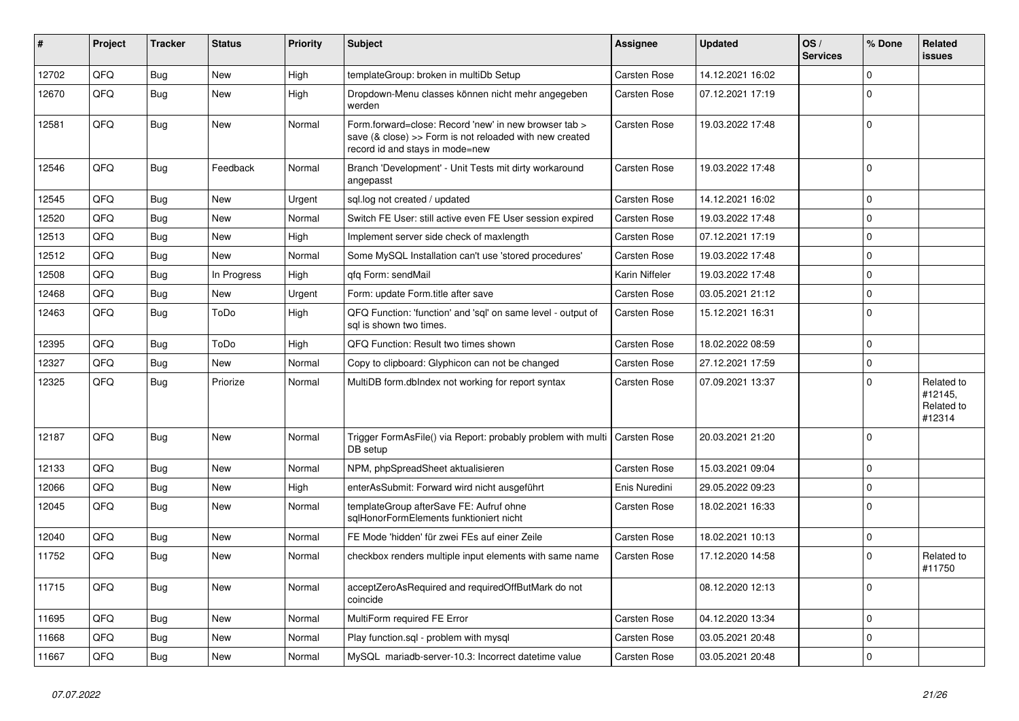| #     | Project | <b>Tracker</b> | <b>Status</b> | <b>Priority</b> | <b>Subject</b>                                                                                                                                      | Assignee            | <b>Updated</b>   | OS/<br><b>Services</b> | % Done      | Related<br><b>issues</b>                      |
|-------|---------|----------------|---------------|-----------------|-----------------------------------------------------------------------------------------------------------------------------------------------------|---------------------|------------------|------------------------|-------------|-----------------------------------------------|
| 12702 | QFQ     | <b>Bug</b>     | <b>New</b>    | High            | templateGroup: broken in multiDb Setup                                                                                                              | <b>Carsten Rose</b> | 14.12.2021 16:02 |                        | $\mathbf 0$ |                                               |
| 12670 | QFQ     | <b>Bug</b>     | New           | High            | Dropdown-Menu classes können nicht mehr angegeben<br>werden                                                                                         | <b>Carsten Rose</b> | 07.12.2021 17:19 |                        | $\Omega$    |                                               |
| 12581 | QFQ     | Bug            | <b>New</b>    | Normal          | Form.forward=close: Record 'new' in new browser tab ><br>save (& close) >> Form is not reloaded with new created<br>record id and stavs in mode=new | Carsten Rose        | 19.03.2022 17:48 |                        | $\Omega$    |                                               |
| 12546 | QFQ     | Bug            | Feedback      | Normal          | Branch 'Development' - Unit Tests mit dirty workaround<br>angepasst                                                                                 | Carsten Rose        | 19.03.2022 17:48 |                        | $\mathbf 0$ |                                               |
| 12545 | QFQ     | Bug            | <b>New</b>    | Urgent          | sql.log not created / updated                                                                                                                       | Carsten Rose        | 14.12.2021 16:02 |                        | $\Omega$    |                                               |
| 12520 | QFQ     | <b>Bug</b>     | <b>New</b>    | Normal          | Switch FE User: still active even FE User session expired                                                                                           | Carsten Rose        | 19.03.2022 17:48 |                        | $\Omega$    |                                               |
| 12513 | QFQ     | Bug            | <b>New</b>    | High            | Implement server side check of maxlength                                                                                                            | Carsten Rose        | 07.12.2021 17:19 |                        | $\Omega$    |                                               |
| 12512 | QFQ     | <b>Bug</b>     | <b>New</b>    | Normal          | Some MySQL Installation can't use 'stored procedures'                                                                                               | Carsten Rose        | 19.03.2022 17:48 |                        | $\mathbf 0$ |                                               |
| 12508 | QFQ     | <b>Bug</b>     | In Progress   | High            | qfq Form: sendMail                                                                                                                                  | Karin Niffeler      | 19.03.2022 17:48 |                        | $\Omega$    |                                               |
| 12468 | QFQ     | Bug            | <b>New</b>    | Urgent          | Form: update Form.title after save                                                                                                                  | Carsten Rose        | 03.05.2021 21:12 |                        | $\mathbf 0$ |                                               |
| 12463 | QFQ     | Bug            | ToDo          | High            | QFQ Function: 'function' and 'sql' on same level - output of<br>sal is shown two times.                                                             | Carsten Rose        | 15.12.2021 16:31 |                        | $\mathbf 0$ |                                               |
| 12395 | QFQ     | Bug            | ToDo          | High            | QFQ Function: Result two times shown                                                                                                                | <b>Carsten Rose</b> | 18.02.2022 08:59 |                        | $\mathbf 0$ |                                               |
| 12327 | QFQ     | <b>Bug</b>     | <b>New</b>    | Normal          | Copy to clipboard: Glyphicon can not be changed                                                                                                     | <b>Carsten Rose</b> | 27.12.2021 17:59 |                        | $\mathbf 0$ |                                               |
| 12325 | QFQ     | <b>Bug</b>     | Priorize      | Normal          | MultiDB form.dblndex not working for report syntax                                                                                                  | Carsten Rose        | 07.09.2021 13:37 |                        | $\Omega$    | Related to<br>#12145,<br>Related to<br>#12314 |
| 12187 | QFQ     | Bug            | New           | Normal          | Trigger FormAsFile() via Report: probably problem with multi<br>DB setup                                                                            | Carsten Rose        | 20.03.2021 21:20 |                        | $\mathbf 0$ |                                               |
| 12133 | QFQ     | <b>Bug</b>     | <b>New</b>    | Normal          | NPM, phpSpreadSheet aktualisieren                                                                                                                   | <b>Carsten Rose</b> | 15.03.2021 09:04 |                        | $\mathbf 0$ |                                               |
| 12066 | QFQ     | <b>Bug</b>     | <b>New</b>    | High            | enterAsSubmit: Forward wird nicht ausgeführt                                                                                                        | Enis Nuredini       | 29.05.2022 09:23 |                        | $\Omega$    |                                               |
| 12045 | QFQ     | Bug            | <b>New</b>    | Normal          | templateGroup afterSave FE: Aufruf ohne<br>sglHonorFormElements funktioniert nicht                                                                  | Carsten Rose        | 18.02.2021 16:33 |                        | $\Omega$    |                                               |
| 12040 | QFQ     | Bug            | <b>New</b>    | Normal          | FE Mode 'hidden' für zwei FEs auf einer Zeile                                                                                                       | Carsten Rose        | 18.02.2021 10:13 |                        | $\mathbf 0$ |                                               |
| 11752 | QFQ     | Bug            | <b>New</b>    | Normal          | checkbox renders multiple input elements with same name                                                                                             | <b>Carsten Rose</b> | 17.12.2020 14:58 |                        | $\mathbf 0$ | Related to<br>#11750                          |
| 11715 | QFQ     | Bug            | <b>New</b>    | Normal          | acceptZeroAsRequired and requiredOffButMark do not<br>coincide                                                                                      |                     | 08.12.2020 12:13 |                        | $\mathbf 0$ |                                               |
| 11695 | QFQ     | <b>Bug</b>     | <b>New</b>    | Normal          | MultiForm required FE Error                                                                                                                         | Carsten Rose        | 04.12.2020 13:34 |                        | $\Omega$    |                                               |
| 11668 | QFQ     | <b>Bug</b>     | <b>New</b>    | Normal          | Play function.sql - problem with mysql                                                                                                              | Carsten Rose        | 03.05.2021 20:48 |                        | $\Omega$    |                                               |
| 11667 | QFQ     | <b>Bug</b>     | <b>New</b>    | Normal          | MySQL mariadb-server-10.3: Incorrect datetime value                                                                                                 | Carsten Rose        | 03.05.2021 20:48 |                        | $\Omega$    |                                               |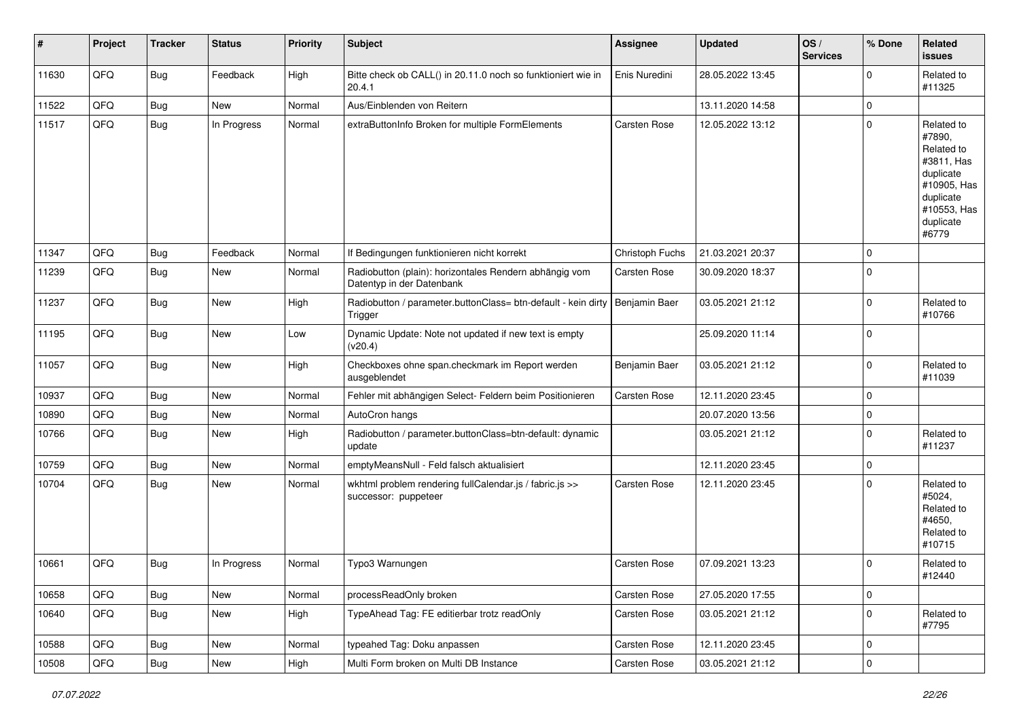| #     | Project | <b>Tracker</b> | <b>Status</b> | <b>Priority</b> | <b>Subject</b>                                                                           | <b>Assignee</b>     | <b>Updated</b>   | OS/<br><b>Services</b> | % Done      | Related<br><b>issues</b>                                                                                                       |
|-------|---------|----------------|---------------|-----------------|------------------------------------------------------------------------------------------|---------------------|------------------|------------------------|-------------|--------------------------------------------------------------------------------------------------------------------------------|
| 11630 | QFQ     | <b>Bug</b>     | Feedback      | High            | Bitte check ob CALL() in 20.11.0 noch so funktioniert wie in<br>20.4.1                   | Enis Nuredini       | 28.05.2022 13:45 |                        | $\Omega$    | Related to<br>#11325                                                                                                           |
| 11522 | QFQ     | Bug            | <b>New</b>    | Normal          | Aus/Einblenden von Reitern                                                               |                     | 13.11.2020 14:58 |                        | $\mathbf 0$ |                                                                                                                                |
| 11517 | QFQ     | Bug            | In Progress   | Normal          | extraButtonInfo Broken for multiple FormElements                                         | <b>Carsten Rose</b> | 12.05.2022 13:12 |                        | $\Omega$    | Related to<br>#7890,<br>Related to<br>#3811, Has<br>duplicate<br>#10905, Has<br>duplicate<br>#10553, Has<br>duplicate<br>#6779 |
| 11347 | QFQ     | <b>Bug</b>     | Feedback      | Normal          | If Bedingungen funktionieren nicht korrekt                                               | Christoph Fuchs     | 21.03.2021 20:37 |                        | $\mathbf 0$ |                                                                                                                                |
| 11239 | QFQ     | <b>Bug</b>     | New           | Normal          | Radiobutton (plain): horizontales Rendern abhängig vom<br>Datentyp in der Datenbank      | Carsten Rose        | 30.09.2020 18:37 |                        | $\mathbf 0$ |                                                                                                                                |
| 11237 | QFQ     | Bug            | New           | High            | Radiobutton / parameter.buttonClass= btn-default - kein dirty   Benjamin Baer<br>Trigger |                     | 03.05.2021 21:12 |                        | $\Omega$    | Related to<br>#10766                                                                                                           |
| 11195 | QFQ     | <b>Bug</b>     | New           | Low             | Dynamic Update: Note not updated if new text is empty<br>(v20.4)                         |                     | 25.09.2020 11:14 |                        | $\mathbf 0$ |                                                                                                                                |
| 11057 | QFQ     | <b>Bug</b>     | New           | High            | Checkboxes ohne span.checkmark im Report werden<br>ausgeblendet                          | Benjamin Baer       | 03.05.2021 21:12 |                        | $\mathbf 0$ | Related to<br>#11039                                                                                                           |
| 10937 | QFQ     | <b>Bug</b>     | <b>New</b>    | Normal          | Fehler mit abhängigen Select- Feldern beim Positionieren                                 | Carsten Rose        | 12.11.2020 23:45 |                        | $\mathbf 0$ |                                                                                                                                |
| 10890 | QFQ     | Bug            | New           | Normal          | AutoCron hangs                                                                           |                     | 20.07.2020 13:56 |                        | 0           |                                                                                                                                |
| 10766 | QFQ     | Bug            | New           | High            | Radiobutton / parameter.buttonClass=btn-default: dynamic<br>update                       |                     | 03.05.2021 21:12 |                        | $\Omega$    | Related to<br>#11237                                                                                                           |
| 10759 | QFQ     | Bug            | New           | Normal          | emptyMeansNull - Feld falsch aktualisiert                                                |                     | 12.11.2020 23:45 |                        | $\mathbf 0$ |                                                                                                                                |
| 10704 | QFQ     | Bug            | New           | Normal          | wkhtml problem rendering fullCalendar.js / fabric.js >><br>successor: puppeteer          | <b>Carsten Rose</b> | 12.11.2020 23:45 |                        | $\mathbf 0$ | Related to<br>#5024,<br>Related to<br>#4650,<br>Related to<br>#10715                                                           |
| 10661 | QFQ     | <b>Bug</b>     | In Progress   | Normal          | Typo3 Warnungen                                                                          | Carsten Rose        | 07.09.2021 13:23 |                        | 0           | Related to<br>#12440                                                                                                           |
| 10658 | QFQ     | <b>Bug</b>     | New           | Normal          | processReadOnly broken                                                                   | Carsten Rose        | 27.05.2020 17:55 |                        | 0           |                                                                                                                                |
| 10640 | QFQ     | <b>Bug</b>     | New           | High            | TypeAhead Tag: FE editierbar trotz readOnly                                              | Carsten Rose        | 03.05.2021 21:12 |                        | $\mathbf 0$ | Related to<br>#7795                                                                                                            |
| 10588 | QFQ     | <b>Bug</b>     | New           | Normal          | typeahed Tag: Doku anpassen                                                              | Carsten Rose        | 12.11.2020 23:45 |                        | $\mathbf 0$ |                                                                                                                                |
| 10508 | QFQ     | Bug            | New           | High            | Multi Form broken on Multi DB Instance                                                   | Carsten Rose        | 03.05.2021 21:12 |                        | $\mathbf 0$ |                                                                                                                                |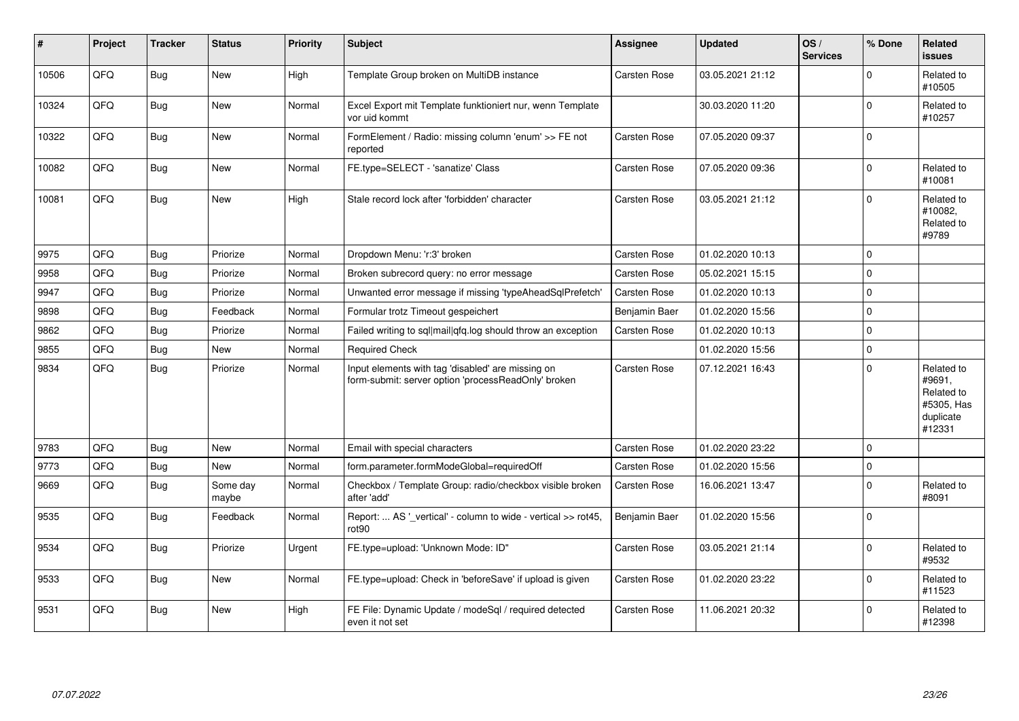| #     | Project | <b>Tracker</b> | <b>Status</b>     | <b>Priority</b> | Subject                                                                                                  | Assignee            | <b>Updated</b>   | OS/<br><b>Services</b> | % Done   | Related<br><b>issues</b>                                                |
|-------|---------|----------------|-------------------|-----------------|----------------------------------------------------------------------------------------------------------|---------------------|------------------|------------------------|----------|-------------------------------------------------------------------------|
| 10506 | QFQ     | Bug            | <b>New</b>        | High            | Template Group broken on MultiDB instance                                                                | Carsten Rose        | 03.05.2021 21:12 |                        | $\Omega$ | Related to<br>#10505                                                    |
| 10324 | QFQ     | Bug            | New               | Normal          | Excel Export mit Template funktioniert nur, wenn Template<br>vor uid kommt                               |                     | 30.03.2020 11:20 |                        | $\Omega$ | Related to<br>#10257                                                    |
| 10322 | QFQ     | <b>Bug</b>     | <b>New</b>        | Normal          | FormElement / Radio: missing column 'enum' >> FE not<br>reported                                         | <b>Carsten Rose</b> | 07.05.2020 09:37 |                        | $\Omega$ |                                                                         |
| 10082 | QFQ     | Bug            | New               | Normal          | FE.type=SELECT - 'sanatize' Class                                                                        | Carsten Rose        | 07.05.2020 09:36 |                        | $\Omega$ | Related to<br>#10081                                                    |
| 10081 | QFQ     | <b>Bug</b>     | New               | High            | Stale record lock after 'forbidden' character                                                            | <b>Carsten Rose</b> | 03.05.2021 21:12 |                        | $\Omega$ | Related to<br>#10082,<br>Related to<br>#9789                            |
| 9975  | QFQ     | <b>Bug</b>     | Priorize          | Normal          | Dropdown Menu: 'r:3' broken                                                                              | <b>Carsten Rose</b> | 01.02.2020 10:13 |                        | $\Omega$ |                                                                         |
| 9958  | QFQ     | <b>Bug</b>     | Priorize          | Normal          | Broken subrecord query: no error message                                                                 | Carsten Rose        | 05.02.2021 15:15 |                        | $\Omega$ |                                                                         |
| 9947  | QFQ     | <b>Bug</b>     | Priorize          | Normal          | Unwanted error message if missing 'typeAheadSqlPrefetch'                                                 | Carsten Rose        | 01.02.2020 10:13 |                        | $\Omega$ |                                                                         |
| 9898  | QFQ     | <b>Bug</b>     | Feedback          | Normal          | Formular trotz Timeout gespeichert                                                                       | Benjamin Baer       | 01.02.2020 15:56 |                        | $\Omega$ |                                                                         |
| 9862  | QFQ     | Bug            | Priorize          | Normal          | Failed writing to sql mail qfq.log should throw an exception                                             | Carsten Rose        | 01.02.2020 10:13 |                        | $\Omega$ |                                                                         |
| 9855  | QFQ     | <b>Bug</b>     | New               | Normal          | <b>Required Check</b>                                                                                    |                     | 01.02.2020 15:56 |                        | $\Omega$ |                                                                         |
| 9834  | QFQ     | <b>Bug</b>     | Priorize          | Normal          | Input elements with tag 'disabled' are missing on<br>form-submit: server option 'processReadOnly' broken | <b>Carsten Rose</b> | 07.12.2021 16:43 |                        | $\Omega$ | Related to<br>#9691,<br>Related to<br>#5305, Has<br>duplicate<br>#12331 |
| 9783  | QFQ     | <b>Bug</b>     | <b>New</b>        | Normal          | Email with special characters                                                                            | <b>Carsten Rose</b> | 01.02.2020 23:22 |                        | $\Omega$ |                                                                         |
| 9773  | QFQ     | <b>Bug</b>     | <b>New</b>        | Normal          | form.parameter.formModeGlobal=requiredOff                                                                | Carsten Rose        | 01.02.2020 15:56 |                        | $\Omega$ |                                                                         |
| 9669  | QFQ     | <b>Bug</b>     | Some day<br>maybe | Normal          | Checkbox / Template Group: radio/checkbox visible broken<br>after 'add'                                  | Carsten Rose        | 16.06.2021 13:47 |                        | $\Omega$ | Related to<br>#8091                                                     |
| 9535  | QFQ     | <b>Bug</b>     | Feedback          | Normal          | Report:  AS '_vertical' - column to wide - vertical >> rot45,<br>rot90                                   | Benjamin Baer       | 01.02.2020 15:56 |                        | $\Omega$ |                                                                         |
| 9534  | QFQ     | <b>Bug</b>     | Priorize          | Urgent          | FE.type=upload: 'Unknown Mode: ID"                                                                       | Carsten Rose        | 03.05.2021 21:14 |                        | $\Omega$ | Related to<br>#9532                                                     |
| 9533  | QFQ     | Bug            | New               | Normal          | FE.type=upload: Check in 'beforeSave' if upload is given                                                 | Carsten Rose        | 01.02.2020 23:22 |                        | $\Omega$ | Related to<br>#11523                                                    |
| 9531  | QFQ     | <b>Bug</b>     | New               | High            | FE File: Dynamic Update / modeSql / required detected<br>even it not set                                 | <b>Carsten Rose</b> | 11.06.2021 20:32 |                        | $\Omega$ | Related to<br>#12398                                                    |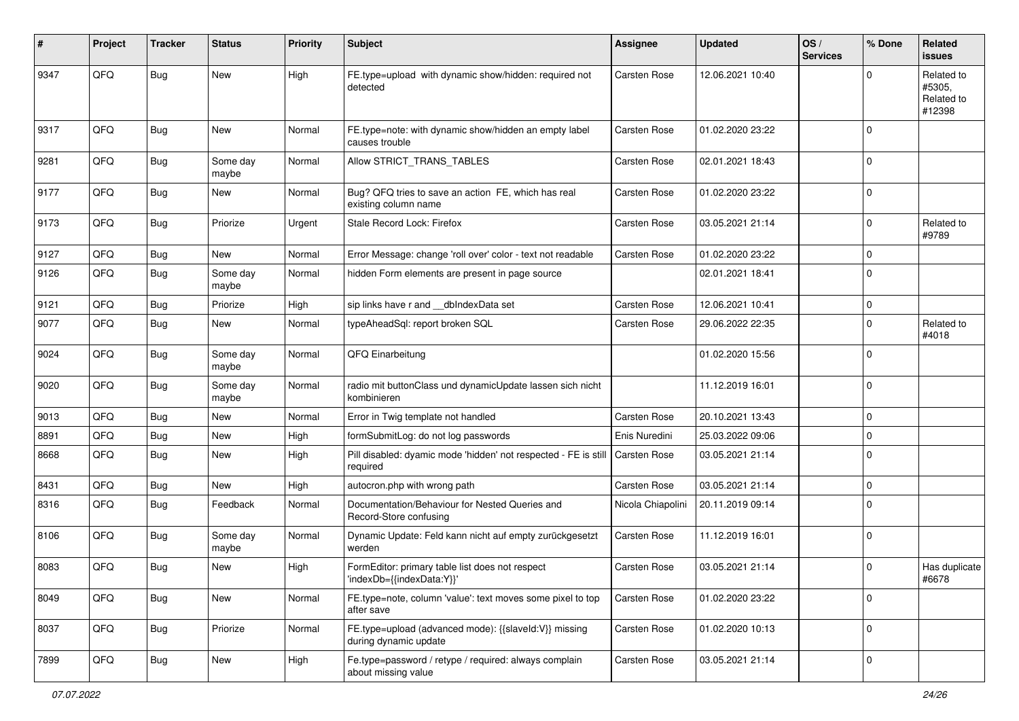| #    | Project | <b>Tracker</b> | <b>Status</b>     | <b>Priority</b> | Subject                                                                        | Assignee            | <b>Updated</b>   | OS/<br><b>Services</b> | % Done      | Related<br>issues                            |
|------|---------|----------------|-------------------|-----------------|--------------------------------------------------------------------------------|---------------------|------------------|------------------------|-------------|----------------------------------------------|
| 9347 | QFQ     | <b>Bug</b>     | <b>New</b>        | High            | FE.type=upload with dynamic show/hidden: required not<br>detected              | <b>Carsten Rose</b> | 12.06.2021 10:40 |                        | $\Omega$    | Related to<br>#5305,<br>Related to<br>#12398 |
| 9317 | QFQ     | Bug            | <b>New</b>        | Normal          | FE.type=note: with dynamic show/hidden an empty label<br>causes trouble        | <b>Carsten Rose</b> | 01.02.2020 23:22 |                        | $\mathbf 0$ |                                              |
| 9281 | QFQ     | Bug            | Some day<br>maybe | Normal          | Allow STRICT_TRANS_TABLES                                                      | <b>Carsten Rose</b> | 02.01.2021 18:43 |                        | $\mathbf 0$ |                                              |
| 9177 | QFQ     | Bug            | New               | Normal          | Bug? QFQ tries to save an action FE, which has real<br>existing column name    | Carsten Rose        | 01.02.2020 23:22 |                        | $\mathbf 0$ |                                              |
| 9173 | QFQ     | Bug            | Priorize          | Urgent          | Stale Record Lock: Firefox                                                     | Carsten Rose        | 03.05.2021 21:14 |                        | $\mathbf 0$ | Related to<br>#9789                          |
| 9127 | QFQ     | Bug            | New               | Normal          | Error Message: change 'roll over' color - text not readable                    | Carsten Rose        | 01.02.2020 23:22 |                        | $\mathbf 0$ |                                              |
| 9126 | QFQ     | Bug            | Some day<br>maybe | Normal          | hidden Form elements are present in page source                                |                     | 02.01.2021 18:41 |                        | $\mathbf 0$ |                                              |
| 9121 | QFQ     | Bug            | Priorize          | High            | sip links have r and __dbIndexData set                                         | Carsten Rose        | 12.06.2021 10:41 |                        | $\mathbf 0$ |                                              |
| 9077 | QFQ     | Bug            | New               | Normal          | typeAheadSql: report broken SQL                                                | Carsten Rose        | 29.06.2022 22:35 |                        | $\mathbf 0$ | Related to<br>#4018                          |
| 9024 | QFQ     | <b>Bug</b>     | Some day<br>maybe | Normal          | QFQ Einarbeitung                                                               |                     | 01.02.2020 15:56 |                        | 0           |                                              |
| 9020 | QFQ     | <b>Bug</b>     | Some day<br>maybe | Normal          | radio mit buttonClass und dynamicUpdate lassen sich nicht<br>kombinieren       |                     | 11.12.2019 16:01 |                        | $\mathbf 0$ |                                              |
| 9013 | QFQ     | Bug            | <b>New</b>        | Normal          | Error in Twig template not handled                                             | Carsten Rose        | 20.10.2021 13:43 |                        | $\mathbf 0$ |                                              |
| 8891 | QFQ     | <b>Bug</b>     | New               | High            | formSubmitLog: do not log passwords                                            | Enis Nuredini       | 25.03.2022 09:06 |                        | $\mathbf 0$ |                                              |
| 8668 | QFQ     | Bug            | New               | High            | Pill disabled: dyamic mode 'hidden' not respected - FE is still<br>required    | Carsten Rose        | 03.05.2021 21:14 |                        | $\mathbf 0$ |                                              |
| 8431 | QFQ     | Bug            | <b>New</b>        | High            | autocron.php with wrong path                                                   | Carsten Rose        | 03.05.2021 21:14 |                        | $\Omega$    |                                              |
| 8316 | QFQ     | Bug            | Feedback          | Normal          | Documentation/Behaviour for Nested Queries and<br>Record-Store confusing       | Nicola Chiapolini   | 20.11.2019 09:14 |                        | $\Omega$    |                                              |
| 8106 | QFQ     | <b>Bug</b>     | Some day<br>maybe | Normal          | Dynamic Update: Feld kann nicht auf empty zurückgesetzt<br>werden              | Carsten Rose        | 11.12.2019 16:01 |                        | $\Omega$    |                                              |
| 8083 | QFQ     | <b>Bug</b>     | New               | High            | FormEditor: primary table list does not respect<br>'indexDb={{indexData:Y}}'   | Carsten Rose        | 03.05.2021 21:14 |                        | $\mathbf 0$ | Has duplicate<br>#6678                       |
| 8049 | QFQ     | Bug            | New               | Normal          | FE.type=note, column 'value': text moves some pixel to top<br>after save       | <b>Carsten Rose</b> | 01.02.2020 23:22 |                        | $\mathbf 0$ |                                              |
| 8037 | QFQ     | <b>Bug</b>     | Priorize          | Normal          | FE.type=upload (advanced mode): {{slaveld:V}} missing<br>during dynamic update | Carsten Rose        | 01.02.2020 10:13 |                        | $\mathbf 0$ |                                              |
| 7899 | QFQ     | <b>Bug</b>     | New               | High            | Fe.type=password / retype / required: always complain<br>about missing value   | Carsten Rose        | 03.05.2021 21:14 |                        | $\mathbf 0$ |                                              |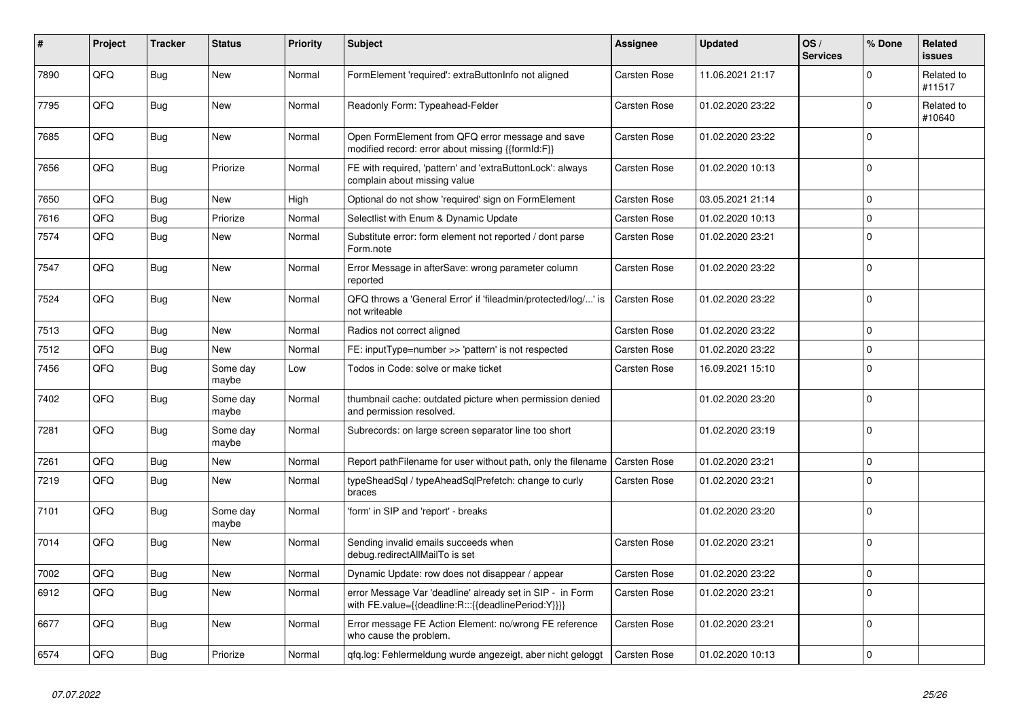| $\#$ | Project | <b>Tracker</b> | <b>Status</b>     | <b>Priority</b> | <b>Subject</b>                                                                                                   | <b>Assignee</b>     | <b>Updated</b>   | OS/<br><b>Services</b> | % Done      | Related<br><b>issues</b> |
|------|---------|----------------|-------------------|-----------------|------------------------------------------------------------------------------------------------------------------|---------------------|------------------|------------------------|-------------|--------------------------|
| 7890 | QFQ     | Bug            | <b>New</b>        | Normal          | FormElement 'required': extraButtonInfo not aligned                                                              | Carsten Rose        | 11.06.2021 21:17 |                        | $\Omega$    | Related to<br>#11517     |
| 7795 | QFQ     | Bug            | New               | Normal          | Readonly Form: Typeahead-Felder                                                                                  | Carsten Rose        | 01.02.2020 23:22 |                        | $\mathsf 0$ | Related to<br>#10640     |
| 7685 | QFQ     | Bug            | New               | Normal          | Open FormElement from QFQ error message and save<br>modified record: error about missing {{formId:F}}            | Carsten Rose        | 01.02.2020 23:22 |                        | $\Omega$    |                          |
| 7656 | QFQ     | Bug            | Priorize          | Normal          | FE with required, 'pattern' and 'extraButtonLock': always<br>complain about missing value                        | Carsten Rose        | 01.02.2020 10:13 |                        | $\mathbf 0$ |                          |
| 7650 | QFQ     | Bug            | <b>New</b>        | High            | Optional do not show 'required' sign on FormElement                                                              | Carsten Rose        | 03.05.2021 21:14 |                        | $\mathbf 0$ |                          |
| 7616 | QFQ     | Bug            | Priorize          | Normal          | Selectlist with Enum & Dynamic Update                                                                            | Carsten Rose        | 01.02.2020 10:13 |                        | $\mathbf 0$ |                          |
| 7574 | QFQ     | Bug            | New               | Normal          | Substitute error: form element not reported / dont parse<br>Form.note                                            | Carsten Rose        | 01.02.2020 23:21 |                        | $\mathbf 0$ |                          |
| 7547 | QFQ     | Bug            | New               | Normal          | Error Message in afterSave: wrong parameter column<br>reported                                                   | Carsten Rose        | 01.02.2020 23:22 |                        | $\mathbf 0$ |                          |
| 7524 | QFQ     | Bug            | New               | Normal          | QFQ throws a 'General Error' if 'fileadmin/protected/log/' is<br>not writeable                                   | Carsten Rose        | 01.02.2020 23:22 |                        | $\mathsf 0$ |                          |
| 7513 | QFQ     | <b>Bug</b>     | New               | Normal          | Radios not correct aligned                                                                                       | Carsten Rose        | 01.02.2020 23:22 |                        | $\Omega$    |                          |
| 7512 | QFQ     | Bug            | <b>New</b>        | Normal          | FE: inputType=number >> 'pattern' is not respected                                                               | Carsten Rose        | 01.02.2020 23:22 |                        | $\mathsf 0$ |                          |
| 7456 | QFQ     | Bug            | Some day<br>maybe | Low             | Todos in Code: solve or make ticket                                                                              | Carsten Rose        | 16.09.2021 15:10 |                        | $\Omega$    |                          |
| 7402 | QFQ     | Bug            | Some day<br>maybe | Normal          | thumbnail cache: outdated picture when permission denied<br>and permission resolved.                             |                     | 01.02.2020 23:20 |                        | $\mathbf 0$ |                          |
| 7281 | QFQ     | Bug            | Some day<br>maybe | Normal          | Subrecords: on large screen separator line too short                                                             |                     | 01.02.2020 23:19 |                        | $\Omega$    |                          |
| 7261 | QFQ     | Bug            | New               | Normal          | Report pathFilename for user without path, only the filename                                                     | <b>Carsten Rose</b> | 01.02.2020 23:21 |                        | $\mathbf 0$ |                          |
| 7219 | QFQ     | Bug            | New               | Normal          | typeSheadSql / typeAheadSqlPrefetch: change to curly<br>braces                                                   | Carsten Rose        | 01.02.2020 23:21 |                        | $\pmb{0}$   |                          |
| 7101 | QFQ     | Bug            | Some day<br>maybe | Normal          | 'form' in SIP and 'report' - breaks                                                                              |                     | 01.02.2020 23:20 |                        | $\mathbf 0$ |                          |
| 7014 | QFQ     | <b>Bug</b>     | New               | Normal          | Sending invalid emails succeeds when<br>debug.redirectAllMailTo is set                                           | Carsten Rose        | 01.02.2020 23:21 |                        | $\mathbf 0$ |                          |
| 7002 | QFQ     | Bug            | <b>New</b>        | Normal          | Dynamic Update: row does not disappear / appear                                                                  | Carsten Rose        | 01.02.2020 23:22 |                        | $\mathbf 0$ |                          |
| 6912 | QFQ     | <b>Bug</b>     | New               | Normal          | error Message Var 'deadline' already set in SIP - in Form<br>with FE.value={{deadline:R:::{{deadlinePeriod:Y}}}} | Carsten Rose        | 01.02.2020 23:21 |                        | $\mathbf 0$ |                          |
| 6677 | QFQ     | Bug            | New               | Normal          | Error message FE Action Element: no/wrong FE reference<br>who cause the problem.                                 | Carsten Rose        | 01.02.2020 23:21 |                        | $\mathbf 0$ |                          |
| 6574 | QFQ     | Bug            | Priorize          | Normal          | gfg.log: Fehlermeldung wurde angezeigt, aber nicht geloggt                                                       | Carsten Rose        | 01.02.2020 10:13 |                        | $\pmb{0}$   |                          |